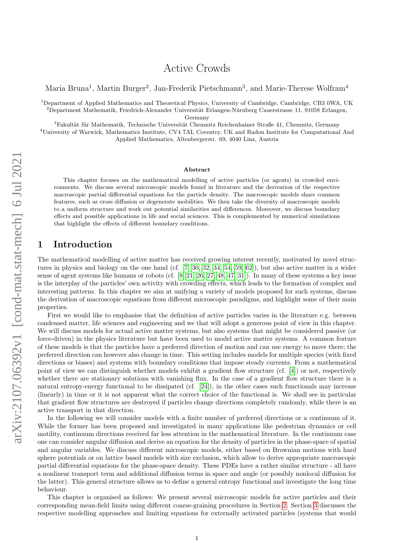# Active Crowds

Maria Bruna<sup>1</sup>, Martin Burger<sup>2</sup>, Jan-Frederik Pietschmann<sup>3</sup>, and Marie-Therese Wolfram<sup>4</sup>

 $1$ Department of Applied Mathematics and Theoretical Physics, University of Cambridge, Cambridge, CB3 0WA, UK  $2D$ epartment Mathematik, Friedrich-Alexander Universität Erlangen-Nürnberg Cauerstrasse 11, 91058 Erlangen,

Germany

 ${}^{3}$ Fakultät für Mathematik, Technische Universität Chemnitz Reichenhainer Straße 41, Chemnitz, Germany <sup>4</sup>University of Warwick, Mathematics Institute, CV4 7AL Coventry, UK and Radon Institute for Computational And Applied Mathematics, Altenbergerstr. 69, 4040 Linz, Austria

#### Abstract

This chapter focuses on the mathematical modelling of active particles (or agents) in crowded environments. We discuss several microscopic models found in literature and the derivation of the respective macroscopic partial differential equations for the particle density. The macroscopic models share common features, such as cross diffusion or degenerate mobilities. We then take the diversity of macroscopic models to a uniform structure and work out potential similarities and differences. Moreover, we discuss boundary effects and possible applications in life and social sciences. This is complemented by numerical simulations that highlight the effects of different boundary conditions.

## 1 Introduction

The mathematical modelling of active matter has received growing interest recently, motivated by novel structures in physics and biology on the one hand (cf. [\[7,](#page-18-0) [30,](#page-19-0) [32,](#page-19-1) [34,](#page-19-2) [54,](#page-19-3) [59,](#page-20-0) [62\]](#page-20-1)), but also active matter in a wider sense of agent systems like humans or robots (cf. [\[8,](#page-18-1) [21,](#page-18-2) [26,](#page-18-3) [27,](#page-18-4) [48,](#page-19-4) [47,](#page-19-5) [31\]](#page-19-6)). In many of these systems a key issue is the interplay of the particles' own activity with crowding effects, which leads to the formation of complex and interesting patterns. In this chapter we aim at unifying a variety of models proposed for such systems, discuss the derivation of macroscopic equations from different microscopic paradigms, and highlight some of their main properties.

First we would like to emphasise that the definition of active particles varies in the literature e.g. between condensed matter, life sciences and engineering and we that will adopt a generous point of view in this chapter. We will discuss models for actual active matter systems, but also systems that might be considered passive (or force-driven) in the physics literature but have been used to model active matter systems. A common feature of these models is that the particles have a preferred direction of motion and can use energy to move there; the preferred direction can however also change in time. This setting includes models for multiple species (with fixed directions or biases) and systems with boundary conditions that impose steady currents. From a mathematical point of view we can distinguish whether models exhibit a gradient flow structure (cf. [\[4\]](#page-15-0)) or not, respectively whether there are stationary solutions with vanishing flux. In the case of a gradient flow structure there is a natural entropy-energy functional to be dissipated (cf. [\[24\]](#page-18-5)), in the other cases such functionals may increase (linearly) in time or it is not apparent what the correct choice of the functional is. We shall see in particular that gradient flow structures are destroyed if particles change directions completely randomly, while there is an active transport in that direction.

In the following we will consider models with a finite number of preferred directions or a continuum of it. While the former has been proposed and investigated in many applications like pedestrian dynamics or cell motility, continuum directions received far less attention in the mathematical literature. In the continuum case one can consider angular diffusion and derive an equation for the density of particles in the phase-space of spatial and angular variables. We discuss different microscopic models, either based on Brownian motions with hard sphere potentials or on lattice based models with size exclusion, which allow to derive appropriate macroscopic partial differential equations for the phase-space density. These PDEs have a rather similar structure - all have a nonlinear transport term and additional diffusion terms in space and angle (or possibly nonlocal diffusion for the latter). This general structure allows us to define a general entropy functional and investigate the long time behaviour.

This chapter is organised as follows: We present several microscopic models for active particles and their corresponding mean-field limits using different coarse-graining procedures in Section [2.](#page-1-0) Section [3](#page-6-0) discusses the respective modelling approaches and limiting equations for externally activated particles (systems that would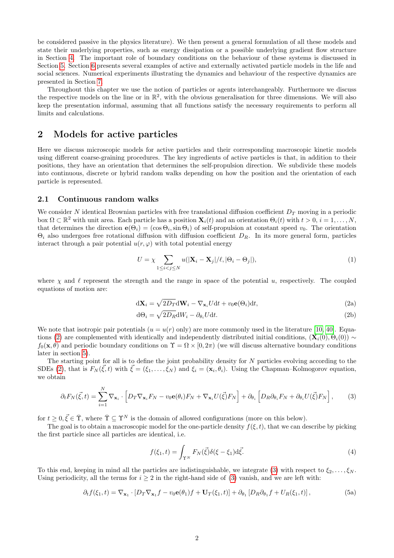be considered passive in the physics literature). We then present a general formulation of all these models and state their underlying properties, such as energy dissipation or a possible underlying gradient flow structure in Section [4.](#page-7-0) The important role of boundary conditions on the behaviour of these systems is discussed in Section [5.](#page-11-0) Section [6](#page-12-0) presents several examples of active and externally activated particle models in the life and social sciences. Numerical experiments illustrating the dynamics and behaviour of the respective dynamics are presented in Section [7.](#page-14-0)

Throughout this chapter we use the notion of particles or agents interchangeably. Furthermore we discuss the respective models on the line or in  $\mathbb{R}^2$ , with the obvious generalisation for three dimensions. We will also keep the presentation informal, assuming that all functions satisfy the necessary requirements to perform all limits and calculations.

## <span id="page-1-0"></span>2 Models for active particles

Here we discuss microscopic models for active particles and their corresponding macroscopic kinetic models using different coarse-graining procedures. The key ingredients of active particles is that, in addition to their positions, they have an orientation that determines the self-propulsion direction. We subdivide these models into continuous, discrete or hybrid random walks depending on how the position and the orientation of each particle is represented.

### 2.1 Continuous random walks

We consider N identical Brownian particles with free translational diffusion coefficient  $D_T$  moving in a periodic box  $\Omega \subset \mathbb{R}^2$  with unit area. Each particle has a position  $\mathbf{X}_i(t)$  and an orientation  $\Theta_i(t)$  with  $t > 0$ ,  $i = 1, \ldots, N$ , that determines the direction  $e(\Theta_i) = (\cos \Theta_i, \sin \Theta_i)$  of self-propulsion at constant speed  $v_0$ . The orientation  $\Theta_i$  also undergoes free rotational diffusion with diffusion coefficient  $D_R$ . In its more general form, particles interact through a pair potential  $u(r, \varphi)$  with total potential energy

<span id="page-1-4"></span>
$$
U = \chi \sum_{1 \le i < j \le N} u(|\mathbf{X}_i - \mathbf{X}_j| / \ell, |\Theta_i - \Theta_j|), \tag{1}
$$

where  $\chi$  and  $\ell$  represent the strength and the range in space of the potential u, respectively. The coupled equations of motion are:

<span id="page-1-1"></span>
$$
d\mathbf{X}_{i} = \sqrt{2D_{T}}d\mathbf{W}_{i} - \nabla_{\mathbf{x}_{i}}Udt + v_{0}\mathbf{e}(\Theta_{i})dt,
$$
\n(2a)

<span id="page-1-6"></span><span id="page-1-5"></span>
$$
d\Theta_i = \sqrt{2D_R}dW_i - \partial_{\theta_i}Udt.
$$
\n(2b)

We note that isotropic pair potentials  $(u = u(r)$  only) are more commonly used in the literature [\[10,](#page-18-6) [40\]](#page-19-7). Equa-tions [\(2\)](#page-1-1) are complemented with identically and independently distributed initial conditions,  $(\mathbf{X}_i(0), \Theta_i(0)) \sim$  $f_0(\mathbf{x}, \theta)$  and periodic boundary conditions on  $\Upsilon = \Omega \times [0, 2\pi)$  (we will discuss alternative boundary conditions later in section [5\)](#page-11-0).

The starting point for all is to define the joint probability density for N particles evolving according to the SDEs [\(2\)](#page-1-1), that is  $F_N(\vec{\xi}, t)$  with  $\vec{\xi} = (\xi_1, \ldots, \xi_N)$  and  $\xi_i = (\mathbf{x}_i, \theta_i)$ . Using the Chapman–Kolmogorov equation, we obtain

<span id="page-1-2"></span>
$$
\partial_t F_N(\vec{\xi}, t) = \sum_{i=1}^N \nabla_{\mathbf{x}_i} \cdot \left[ D_T \nabla_{\mathbf{x}_i} F_N - v_0 \mathbf{e}(\theta_i) F_N + \nabla_{\mathbf{x}_i} U(\vec{\xi}) F_N \right] + \partial_{\theta_i} \left[ D_R \partial_{\theta_i} F_N + \partial_{\theta_i} U(\vec{\xi}) F_N \right],\tag{3}
$$

for  $t \geq 0, \vec{\xi} \in \overline{\Upsilon}$ , where  $\overline{\Upsilon} \subseteq \Upsilon^N$  is the domain of allowed configurations (more on this below).

The goal is to obtain a macroscopic model for the one-particle density  $f(\xi, t)$ , that we can describe by picking the first particle since all particles are identical, i.e.

<span id="page-1-3"></span>
$$
f(\xi_1, t) = \int_{\Upsilon^N} F_N(\vec{\xi}) \delta(\xi - \xi_1) \mathrm{d}\vec{\xi}.\tag{4}
$$

To this end, keeping in mind all the particles are indistinguishable, we integrate [\(3\)](#page-1-2) with respect to  $\xi_2, \ldots, \xi_N$ . Using periodicity, all the terms for  $i \geq 2$  in the right-hand side of [\(3\)](#page-1-2) vanish, and we are left with:

$$
\partial_t f(\xi_1, t) = \nabla_{\mathbf{x}_1} \cdot [D_T \nabla_{\mathbf{x}_1} f - v_0 \mathbf{e}(\theta_1) f + \mathbf{U}_T(\xi_1, t)] + \partial_{\theta_1} [D_R \partial_{\theta_1} f + U_R(\xi_1, t)], \tag{5a}
$$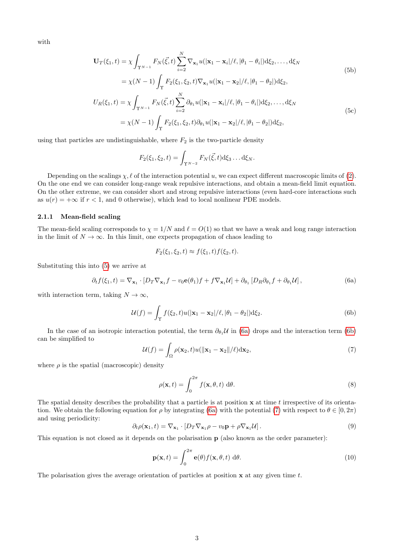with

$$
\mathbf{U}_{T}(\xi_{1},t) = \chi \int_{\Upsilon^{N-1}} F_{N}(\vec{\xi},t) \sum_{i=2}^{N} \nabla_{\mathbf{x}_{1}} u(|\mathbf{x}_{1} - \mathbf{x}_{i}|/\ell, |\theta_{1} - \theta_{i}|) d\xi_{2},..., d\xi_{N}
$$
\n
$$
= \chi(N-1) \int_{\Upsilon} F_{2}(\xi_{1},\xi_{2},t) \nabla_{\mathbf{x}_{1}} u(|\mathbf{x}_{1} - \mathbf{x}_{2}|/\ell, |\theta_{1} - \theta_{2}|) d\xi_{2},
$$
\n
$$
U_{R}(\xi_{1},t) = \chi \int_{\Upsilon^{N-1}} F_{N}(\vec{\xi},t) \sum_{i=2}^{N} \partial_{\theta_{1}} u(|\mathbf{x}_{1} - \mathbf{x}_{i}|/\ell, |\theta_{1} - \theta_{i}|) d\xi_{2},..., d\xi_{N}
$$
\n
$$
= \chi(N-1) \int_{\Upsilon} F_{2}(\xi_{1},\xi_{2},t) \partial_{\theta_{1}} u(|\mathbf{x}_{1} - \mathbf{x}_{2}|/\ell, |\theta_{1} - \theta_{2}|) d\xi_{2},
$$
\n(5c)

using that particles are undistinguishable, where  $F_2$  is the two-particle density

$$
F_2(\xi_1, \xi_2, t) = \int_{\Upsilon^{N-2}} F_N(\vec{\xi}, t) d\xi_3 \dots d\xi_N.
$$

Depending on the scalings  $\chi, \ell$  of the interaction potential u, we can expect different macroscopic limits of [\(2\)](#page-1-1). On the one end we can consider long-range weak repulsive interactions, and obtain a mean-field limit equation. On the other extreme, we can consider short and strong repulsive interactions (even hard-core interactions such as  $u(r) = +\infty$  if  $r < 1$ , and 0 otherwise), which lead to local nonlinear PDE models.

#### 2.1.1 Mean-field scaling

The mean-field scaling corresponds to  $\chi = 1/N$  and  $\ell = O(1)$  so that we have a weak and long range interaction in the limit of  $N \to \infty$ . In this limit, one expects propagation of chaos leading to

$$
F_2(\xi_1, \xi_2, t) \approx f(\xi_1, t) f(\xi_2, t).
$$

Substituting this into [\(5\)](#page-1-3) we arrive at

<span id="page-2-0"></span>
$$
\partial_t f(\xi_1, t) = \nabla_{\mathbf{x}_1} \cdot [D_T \nabla_{\mathbf{x}_1} f - v_0 \mathbf{e}(\theta_1) f + f \nabla_{\mathbf{x}_1} \mathcal{U}] + \partial_{\theta_1} [D_R \partial_{\theta_1} f + \partial_{\theta_1} \mathcal{U}], \tag{6a}
$$

with interaction term, taking  $N \to \infty$ ,

<span id="page-2-1"></span>
$$
\mathcal{U}(f) = \int_{\Upsilon} f(\xi_2, t) u(|\mathbf{x}_1 - \mathbf{x}_2|/\ell, |\theta_1 - \theta_2|) d\xi_2.
$$
 (6b)

In the case of an isotropic interaction potential, the term  $\partial_{\theta_1} \mathcal{U}$  in [\(6a\)](#page-2-0) drops and the interaction term [\(6b\)](#page-2-1) can be simplified to

<span id="page-2-2"></span>
$$
\mathcal{U}(f) = \int_{\Omega} \rho(\mathbf{x}_2, t) u(||\mathbf{x}_1 - \mathbf{x}_2||/\ell) d\mathbf{x}_2,
$$
\n(7)

where  $\rho$  is the spatial (macroscopic) density

$$
\rho(\mathbf{x},t) = \int_0^{2\pi} f(\mathbf{x},\theta,t) \, d\theta. \tag{8}
$$

The spatial density describes the probability that a particle is at position  $x$  at time t irrespective of its orientation. We obtain the following equation for  $\rho$  by integrating [\(6a\)](#page-2-0) with the potential [\(7\)](#page-2-2) with respect to  $\theta \in [0, 2\pi)$ and using periodicity:

$$
\partial_t \rho(\mathbf{x}_1, t) = \nabla_{\mathbf{x}_1} \cdot [D_T \nabla_{\mathbf{x}_1} \rho - v_0 \mathbf{p} + \rho \nabla_{\mathbf{x}_1} \mathcal{U}]. \tag{9}
$$

This equation is not closed as it depends on the polarisation p (also known as the order parameter):

$$
\mathbf{p}(\mathbf{x},t) = \int_0^{2\pi} \mathbf{e}(\theta) f(\mathbf{x}, \theta, t) \, d\theta.
$$
 (10)

The polarisation gives the average orientation of particles at position  $x$  at any given time  $t$ .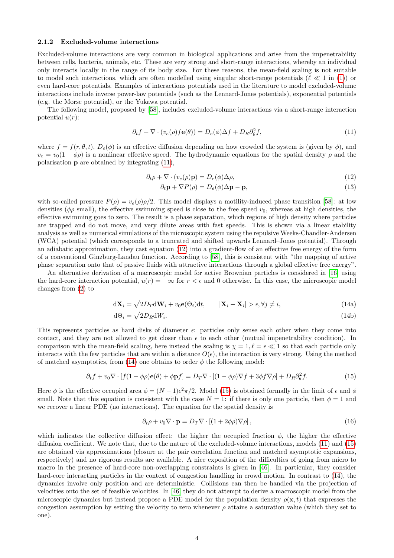#### <span id="page-3-4"></span>2.1.2 Excluded-volume interactions

Excluded-volume interactions are very common in biological applications and arise from the impenetrability between cells, bacteria, animals, etc. These are very strong and short-range interactions, whereby an individual only interacts locally in the range of its body size. For these reasons, the mean-field scaling is not suitable to model such interactions, which are often modelled using singular short-range potentials ( $\ell \ll 1$  in [\(1\)](#page-1-4)) or even hard-core potentials. Examples of interactions potentials used in the literature to model excluded-volume interactions include inverse power-law potentials (such as the Lennard-Jones potentials), exponential potentials (e.g. the Morse potential), or the Yukawa potential.

The following model, proposed by [\[58\]](#page-20-2), includes excluded-volume interactions via a short-range interaction potential  $u(r)$ :

$$
\partial_t f + \nabla \cdot (v_e(\rho) f \mathbf{e}(\theta)) = D_e(\phi) \Delta f + D_R \partial_\theta^2 f,\tag{11}
$$

where  $f = f(r, \theta, t)$ ,  $D_e(\phi)$  is an effective diffusion depending on how crowded the system is (given by  $\phi$ ), and  $v_e = v_0(1 - \phi \rho)$  is a nonlinear effective speed. The hydrodynamic equations for the spatial density  $\rho$  and the polarisation p are obtained by integrating [\(11\)](#page-3-0),

$$
\partial_t \rho + \nabla \cdot (v_e(\rho) \mathbf{p}) = D_e(\phi) \Delta \rho, \tag{12}
$$

<span id="page-3-1"></span><span id="page-3-0"></span>
$$
\partial_t \mathbf{p} + \nabla P(\rho) = D_e(\phi) \Delta \mathbf{p} - \mathbf{p},\tag{13}
$$

with so-called pressure  $P(\rho) = v_e(\rho)\rho/2$ . This model displays a motility-induced phase transition [\[58\]](#page-20-2): at low densities ( $\phi \rho$  small), the effective swimming speed is close to the free speed  $v_0$ , whereas at high densities, the effective swimming goes to zero. The result is a phase separation, which regions of high density where particles are trapped and do not move, and very dilute areas with fast speeds. This is shown via a linear stability analysis as well as numerical simulations of the microscopic system using the repulsive Weeks-Chandler-Andersen (WCA) potential (which corresponds to a truncated and shifted upwards Lennard–Jones potential). Through an adiabatic approximation, they cast equation [\(12\)](#page-3-1) into a gradient-flow of an effective free energy of the form of a conventional Ginzburg-Landau function. According to [\[58\]](#page-20-2), this is consistent with "the mapping of active phase separation onto that of passive fluids with attractive interactions through a global effective free energy".

An alternative derivation of a macroscopic model for active Brownian particles is considered in [\[16\]](#page-18-7) using the hard-core interaction potential,  $u(r) = +\infty$  for  $r < \epsilon$  and 0 otherwise. In this case, the microscopic model changes from [\(2\)](#page-1-1) to

<span id="page-3-2"></span>
$$
d\mathbf{X}_{i} = \sqrt{2D_{T}}d\mathbf{W}_{i} + v_{0}\mathbf{e}(\Theta_{i})dt, \qquad |\mathbf{X}_{i} - \mathbf{X}_{i}| > \epsilon, \forall j \neq i,
$$
\n(14a)

$$
d\Theta_i = \sqrt{2D_R}dW_i. \tag{14b}
$$

This represents particles as hard disks of diameter  $\epsilon$ : particles only sense each other when they come into contact, and they are not allowed to get closer than  $\epsilon$  to each other (mutual impenetrability condition). In comparison with the mean-field scaling, here instead the scaling is  $\chi = 1, \ell = \epsilon \ll 1$  so that each particle only interacts with the few particles that are within a distance  $O(\epsilon)$ , the interaction is very strong. Using the method of matched asymptotics, from [\(14\)](#page-3-2) one obtains to order  $\phi$  the following model:

$$
\partial_t f + v_0 \nabla \cdot [f(1 - \phi \rho) \mathbf{e}(\theta) + \phi \mathbf{p}f] = D_T \nabla \cdot [(1 - \phi \rho) \nabla f + 3\phi f \nabla \rho] + D_R \partial_\theta^2 f. \tag{15}
$$

Here  $\phi$  is the effective occupied area  $\phi = (N-1)\epsilon^2\pi/2$ . Model [\(15\)](#page-3-3) is obtained formally in the limit of  $\epsilon$  and  $\phi$ small. Note that this equation is consistent with the case  $N = 1$ : if there is only one particle, then  $\phi = 1$  and we recover a linear PDE (no interactions). The equation for the spatial density is

<span id="page-3-3"></span>
$$
\partial_t \rho + v_0 \nabla \cdot \mathbf{p} = D_T \nabla \cdot \left[ (1 + 2\phi \rho) \nabla \rho \right],\tag{16}
$$

which indicates the collective diffusion effect: the higher the occupied fraction  $\phi$ , the higher the effective diffusion coefficient. We note that, due to the nature of the excluded-volume interactions, models [\(11\)](#page-3-0) and [\(15\)](#page-3-3) are obtained via approximations (closure at the pair correlation function and matched asymptotic expansions, respectively) and no rigorous results are available. A nice exposition of the difficulties of going from micro to macro in the presence of hard-core non-overlapping constraints is given in [\[46\]](#page-19-8). In particular, they consider hard-core interacting particles in the context of congestion handling in crowd motion. In contrast to [\(14\)](#page-3-2), the dynamics involve only position and are deterministic. Collisions can then be handled via the projection of velocities onto the set of feasible velocities. In [\[46\]](#page-19-8) they do not attempt to derive a macroscopic model from the microscopic dynamics but instead propose a PDE model for the population density  $\rho(\mathbf{x}, t)$  that expresses the congestion assumption by setting the velocity to zero whenever  $\rho$  attains a saturation value (which they set to one).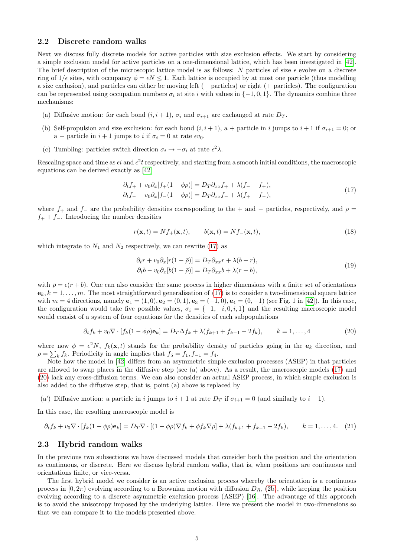### <span id="page-4-4"></span>2.2 Discrete random walks

Next we discuss fully discrete models for active particles with size exclusion effects. We start by considering a simple exclusion model for active particles on a one-dimensional lattice, which has been investigated in [\[42\]](#page-19-9). The brief description of the microscopic lattice model is as follows: N particles of size  $\epsilon$  evolve on a discrete ring of  $1/\epsilon$  sites, with occupancy  $\phi = \epsilon N \leq 1$ . Each lattice is occupied by at most one particle (thus modelling a size exclusion), and particles can either be moving left (− particles) or right (+ particles). The configuration can be represented using occupation numbers  $\sigma_i$  at site i with values in  $\{-1, 0, 1\}$ . The dynamics combine three mechanisms:

- (a) Diffusive motion: for each bond  $(i, i + 1)$ ,  $\sigma_i$  and  $\sigma_{i+1}$  are exchanged at rate  $D_T$ .
- (b) Self-propulsion and size exclusion: for each bond  $(i, i + 1)$ , a + particle in i jumps to  $i + 1$  if  $\sigma_{i+1} = 0$ ; or a – particle in  $i + 1$  jumps to i if  $\sigma_i = 0$  at rate  $\epsilon v_0$ .
- (c) Tumbling: particles switch direction  $\sigma_i \to -\sigma_i$  at rate  $\epsilon^2 \lambda$ .

Rescaling space and time as  $\epsilon i$  and  $\epsilon^2 t$  respectively, and starting from a smooth initial conditions, the macroscopic equations can be derived exactly as [\[42\]](#page-19-9)

$$
\partial_t f_+ + v_0 \partial_x [f_+(1 - \phi \rho)] = D_T \partial_{xx} f_+ + \lambda (f_- - f_+), \n\partial_t f_- - v_0 \partial_x [f_-(1 - \phi \rho)] = D_T \partial_{xx} f_- + \lambda (f_+ - f_-),
$$
\n(17)

where  $f_+$  and  $f_-$  are the probability densities corresponding to the + and − particles, respectively, and  $\rho =$  $f_{+} + f_{-}$ . Introducing the number densities

<span id="page-4-0"></span>
$$
r(\mathbf{x},t) = Nf_+(\mathbf{x},t), \qquad b(\mathbf{x},t) = Nf_-(\mathbf{x},t), \tag{18}
$$

which integrate to  $N_1$  and  $N_2$  respectively, we can rewrite [\(17\)](#page-4-0) as

<span id="page-4-5"></span>
$$
\partial_t r + v_0 \partial_x [r(1 - \bar{\rho})] = D_T \partial_{xx} r + \lambda (b - r),
$$
  
\n
$$
\partial_t b - v_0 \partial_x [b(1 - \bar{\rho})] = D_T \partial_{xx} b + \lambda (r - b),
$$
\n(19)

with  $\bar{\rho} = \epsilon(r + b)$ . One can also consider the same process in higher dimensions with a finite set of orientations  $e_k, k = 1, \ldots, m$ . The most straightforward generalisation of [\(17\)](#page-4-0) is to consider a two-dimensional square lattice with  $m = 4$  directions, namely  $e_1 = (1, 0), e_2 = (0, 1), e_3 = (-1, 0), e_4 = (0, -1)$  (see Fig. 1 in [\[42\]](#page-19-9)). In this case, the configuration would take five possible values,  $\sigma_i = \{-1, -i, 0, i, 1\}$  and the resulting macroscopic model would consist of a system of four equations for the densities of each subpopulations

<span id="page-4-1"></span>
$$
\partial_t f_k + v_0 \nabla \cdot [f_k(1 - \phi \rho) \mathbf{e}_k] = D_T \Delta f_k + \lambda (f_{k+1} + f_{k-1} - 2f_k), \qquad k = 1, ..., 4
$$
 (20)

where now  $\phi = \epsilon^2 N$ ,  $f_k(\mathbf{x}, t)$  stands for the probability density of particles going in the  $\mathbf{e}_k$  direction, and  $\rho = \sum_{k} f_k$ . Periodicity in angle implies that  $f_5 = f_1, f_{-1} = f_4$ .

Note how the model in [\[42\]](#page-19-9) differs from an asymmetric simple exclusion processes (ASEP) in that particles are allowed to swap places in the diffusive step (see (a) above). As a result, the macroscopic models [\(17\)](#page-4-0) and [\(20\)](#page-4-1) lack any cross-diffusion terms. We can also consider an actual ASEP process, in which simple exclusion is also added to the diffusive step, that is, point (a) above is replaced by

(a') Diffusive motion: a particle in i jumps to  $i + 1$  at rate  $D_T$  if  $\sigma_{i+1} = 0$  (and similarly to  $i - 1$ ).

In this case, the resulting macroscopic model is

<span id="page-4-2"></span>
$$
\partial_t f_k + v_0 \nabla \cdot [f_k(1 - \phi \rho) \mathbf{e}_k] = D_T \nabla \cdot [(1 - \phi \rho) \nabla f_k + \phi f_k \nabla \rho] + \lambda (f_{k+1} + f_{k-1} - 2f_k), \qquad k = 1, \dots, 4. \tag{21}
$$

#### <span id="page-4-3"></span>2.3 Hybrid random walks

In the previous two subsections we have discussed models that consider both the position and the orientation as continuous, or discrete. Here we discuss hybrid random walks, that is, when positions are continuous and orientations finite, or vice-versa.

The first hybrid model we consider is an active exclusion process whereby the orientation is a continuous process in  $[0, 2\pi)$  evolving according to a Brownian motion with diffusion  $D_R$ , [\(2b\)](#page-1-5), while keeping the position evolving according to a discrete asymmetric exclusion process (ASEP) [\[16\]](#page-18-7). The advantage of this approach is to avoid the anisotropy imposed by the underlying lattice. Here we present the model in two-dimensions so that we can compare it to the models presented above.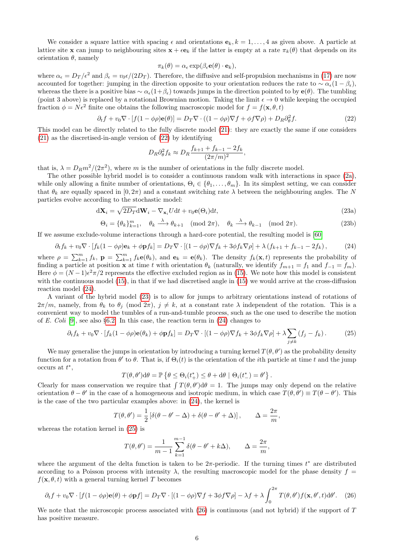We consider a square lattice with spacing  $\epsilon$  and orientations  $e_k$ ,  $k = 1, \ldots, 4$  as given above. A particle at lattice site x can jump to neighbouring sites  $x + \epsilon e_k$  if the latter is empty at a rate  $\pi_k(\theta)$  that depends on its orientation  $\theta$ , namely

<span id="page-5-0"></span>
$$
\pi_k(\theta) = \alpha_{\epsilon} \exp(\beta_{\epsilon} \mathbf{e}(\theta) \cdot \mathbf{e}_k),
$$

where  $\alpha_{\epsilon} = D_T/\epsilon^2$  and  $\beta_{\epsilon} = v_0 \epsilon/(2D_T)$ . Therefore, the diffusive and self-propulsion mechanisms in [\(17\)](#page-4-0) are now accounted for together: jumping in the direction opposite to your orientation reduces the rate to  $\sim \alpha_{\epsilon}(1-\beta_{\epsilon}),$ whereas the there is a positive bias  $\sim \alpha_{\epsilon}(1+\beta_{\epsilon})$  towards jumps in the direction pointed to by  $\mathbf{e}(\theta)$ . The tumbling (point 3 above) is replaced by a rotational Brownian motion. Taking the limit  $\epsilon \to 0$  while keeping the occupied fraction  $\phi = N\epsilon^2$  finite one obtains the following macroscopic model for  $f = f(\mathbf{x}, \theta, t)$ 

$$
\partial_t f + v_0 \nabla \cdot [f(1 - \phi \rho) \mathbf{e}(\theta)] = D_T \nabla \cdot ((1 - \phi \rho) \nabla f + \phi f \nabla \rho) + D_R \partial_\theta^2 f. \tag{22}
$$

This model can be directly related to the fully discrete model [\(21\)](#page-4-2): they are exactly the same if one considers [\(21\)](#page-4-2) as the discretised-in-angle version of [\(22\)](#page-5-0) by identifying

<span id="page-5-5"></span><span id="page-5-2"></span>
$$
D_R \partial_\theta^2 f_k \approx D_R \frac{f_{k+1} + f_{k-1} - 2f_k}{(2\pi/m)^2},
$$

that is,  $\lambda = D_R m^2/(2\pi^2)$ , where m is the number of orientations in the fully discrete model.

The other possible hybrid model is to consider a continuous random walk with interactions in space [\(2a\)](#page-1-6), while only allowing a finite number of orientations,  $\Theta_i \in \{\theta_1, \ldots, \theta_m\}$ . In its simplest setting, we can consider that  $\theta_k$  are equally spaced in  $[0, 2\pi)$  and a constant switching rate  $\lambda$  between the neighbouring angles. The N particles evolve according to the stochastic model:

$$
d\mathbf{X}_{i} = \sqrt{2D_{T}}d\mathbf{W}_{i} - \nabla_{\mathbf{x}_{i}}Udt + v_{0}\mathbf{e}(\Theta_{i})dt,
$$
\n(23a)

$$
\Theta_i = \{\theta_k\}_{k=1}^m, \quad \theta_k \xrightarrow{\lambda} \theta_{k+1} \pmod{2\pi}, \quad \theta_k \xrightarrow{\lambda} \theta_{k-1} \pmod{2\pi}.
$$
 (23b)

If we assume exclude-volume interactions through a hard-core potential, the resulting model is [\[60\]](#page-20-3)

<span id="page-5-1"></span>
$$
\partial_t f_k + v_0 \nabla \cdot [f_k(1 - \phi \rho) \mathbf{e}_k + \phi \mathbf{p} f_k] = D_T \nabla \cdot [(1 - \phi \rho) \nabla f_k + 3\phi f_k \nabla \rho] + \lambda (f_{k+1} + f_{k-1} - 2f_k), \tag{24}
$$

where  $\rho = \sum_{k=1}^m f_k$ ,  $\mathbf{p} = \sum_{k=1}^m f_k \mathbf{e}(\theta_k)$ , and  $\mathbf{e}_k = \mathbf{e}(\theta_k)$ . The density  $f_k(\mathbf{x}, t)$  represents the probability of finding a particle at position **x** at time t with orientation  $\theta_k$  (naturally, we identify  $f_{m+1} = f_1$  and  $f_{-1} = f_m$ ). Here  $\phi = (N-1)\epsilon^2 \pi/2$  represents the effective excluded region as in [\(15\)](#page-3-3). We note how this model is consistent with the continuous model [\(15\)](#page-3-3), in that if we had discretised angle in (15) we would arrive at the cross-diffusion reaction model [\(24\)](#page-5-1).

A variant of the hybrid model [\(23\)](#page-5-2) is to allow for jumps to arbitrary orientations instead of rotations of  $2\pi/m$ , namely, from  $\theta_k$  to  $\theta_j$  (mod  $2\pi$ ),  $j \neq k$ , at a constant rate  $\lambda$  independent of the rotation. This is a convenient way to model the tumbles of a run-and-tumble process, such as the one used to describe the motion of E. Coli [\[9\]](#page-18-8), see also §[6.2.](#page-13-0) In this case, the reaction term in  $(24)$  changes to

<span id="page-5-3"></span>
$$
\partial_t f_k + v_0 \nabla \cdot [f_k(1 - \phi \rho) \mathbf{e}(\theta_k) + \phi \mathbf{p} f_k] = D_T \nabla \cdot [(1 - \phi \rho) \nabla f_k + 3\phi f_k \nabla \rho] + \lambda \sum_{j \neq k} (f_j - f_k). \tag{25}
$$

We may generalise the jumps in orientation by introducing a turning kernel  $T(\theta, \theta')$  as the probability density function for a rotation from  $\theta'$  to  $\theta$ . That is, if  $\Theta_i(t)$  is the orientation of the *i*th particle at time t and the jump occurs at  $t^*$ ,

$$
T(\theta, \theta') d\theta = \mathbb{P}\left\{\theta \leq \Theta_i(t^*_+) \leq \theta + d\theta \mid \Theta_i(t^*_-) = \theta'\right\}.
$$

Clearly for mass conservation we require that  $\int T(\theta, \theta') d\theta = 1$ . The jumps may only depend on the relative orientation  $\theta - \theta'$  in the case of a homogeneous and isotropic medium, in which case  $T(\theta, \theta') \equiv T(\theta - \theta')$ . This is the case of the two particular examples above: in [\(24\)](#page-5-1), the kernel is

$$
T(\theta, \theta') = \frac{1}{2} \left[ \delta(\theta - \theta' - \Delta) + \delta(\theta - \theta' + \Delta) \right], \qquad \Delta = \frac{2\pi}{m},
$$

whereas the rotation kernel in [\(25\)](#page-5-3) is

$$
T(\theta, \theta') = \frac{1}{m-1} \sum_{k=1}^{m-1} \delta(\theta - \theta' + k\Delta), \qquad \Delta = \frac{2\pi}{m},
$$

where the argument of the delta function is taken to be  $2\pi$ -periodic. If the turning times  $t^*$  are distributed according to a Poisson process with intensity  $\lambda$ , the resulting macroscopic model for the phase density  $f =$  $f(\mathbf{x}, \theta, t)$  with a general turning kernel T becomes

<span id="page-5-4"></span>
$$
\partial_t f + v_0 \nabla \cdot [f(1 - \phi \rho) \mathbf{e}(\theta) + \phi \mathbf{p} f] = D_T \nabla \cdot [(1 - \phi \rho) \nabla f + 3\phi f \nabla \rho] - \lambda f + \lambda \int_0^{2\pi} T(\theta, \theta') f(\mathbf{x}, \theta', t) d\theta'. \tag{26}
$$

We note that the microscopic process associated with  $(26)$  is continuous (and not hybrid) if the support of T has positive measure.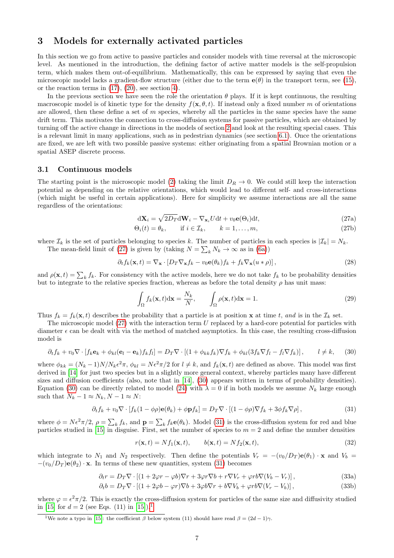## <span id="page-6-0"></span>3 Models for externally activated particles

In this section we go from active to passive particles and consider models with time reversal at the microscopic level. As mentioned in the introduction, the defining factor of active matter models is the self-propulsion term, which makes them out-of-equilibrium. Mathematically, this can be expressed by saying that even the microscopic model lacks a gradient-flow structure (either due to the term  $\mathbf{e}(\theta)$  in the transport term, see [\(15\)](#page-3-3), or the reaction terms in  $(17)$ ,  $(20)$ , see section [4\)](#page-7-0).

In the previous section we have seen the role the orientation  $\theta$  plays. If it is kept continuous, the resulting macroscopic model is of kinetic type for the density  $f(\mathbf{x}, \theta, t)$ . If instead only a fixed number m of orientations are allowed, then these define a set of  $m$  species, whereby all the particles in the same species have the same drift term. This motivates the connection to cross-diffusion systems for passive particles, which are obtained by turning off the active change in directions in the models of section [2](#page-1-0) and look at the resulting special cases. This is a relevant limit in many applications, such as in pedestrian dynamics (see section [6.1\)](#page-12-1). Once the orientations are fixed, we are left with two possible passive systems: either originating from a spatial Brownian motion or a spatial ASEP discrete process.

### 3.1 Continuous models

The starting point is the microscopic model [\(2\)](#page-1-1) taking the limit  $D_R \to 0$ . We could still keep the interaction potential as depending on the relative orientations, which would lead to different self- and cross-interactions (which might be useful in certain applications). Here for simplicity we assume interactions are all the same regardless of the orientations:

<span id="page-6-1"></span>
$$
d\mathbf{X}_{i} = \sqrt{2D_{T}}d\mathbf{W}_{i} - \nabla_{\mathbf{x}_{i}}Udt + v_{0}\mathbf{e}(\Theta_{i})dt,
$$
\n(27a)

$$
\Theta_i(t) = \theta_k, \qquad \text{if } i \in \mathcal{I}_k, \qquad k = 1, \dots, m,
$$
\n
$$
(27b)
$$

where  $\mathcal{I}_k$  is the set of particles belonging to species k. The number of particles in each species is  $|\mathcal{I}_k| = N_k$ . The mean-field limit of [\(27\)](#page-6-1) is given by (taking  $N = \sum_{k} N_k \to \infty$  as in [\(6a\)](#page-2-0))

$$
\partial_t f_k(\mathbf{x}, t) = \nabla_\mathbf{x} \cdot \left[ D_T \nabla_\mathbf{x} f_k - v_0 \mathbf{e}(\theta_k) f_k + f_k \nabla_\mathbf{x} (u * \rho) \right],\tag{28}
$$

and  $\rho(\mathbf{x},t) = \sum_k f_k$ . For consistency with the active models, here we do not take  $f_k$  to be probability densities but to integrate to the relative species fraction, whereas as before the total density  $\rho$  has unit mass:

<span id="page-6-5"></span><span id="page-6-2"></span>
$$
\int_{\Omega} f_k(\mathbf{x}, t) d\mathbf{x} = \frac{N_k}{N}, \qquad \int_{\Omega} \rho(\mathbf{x}, t) d\mathbf{x} = 1.
$$
\n(29)

Thus  $f_k = f_k(\mathbf{x}, t)$  describes the probability that a particle is at position  $\mathbf{x}$  at time t, and is in the  $\mathcal{I}_k$  set.

The microscopic model  $(27)$  with the interaction term U replaced by a hard-core potential for particles with diameter  $\epsilon$  can be dealt with via the method of matched asymptotics. In this case, the resulting cross-diffusion model is

$$
\partial_t f_k + v_0 \nabla \cdot [f_k \mathbf{e}_k + \phi_{kl} (\mathbf{e}_l - \mathbf{e}_k) f_k f_l] = D_T \nabla \cdot [(1 + \phi_{kk} f_k) \nabla f_k + \phi_{kl} (3f_k \nabla f_l - f_l \nabla f_k)], \qquad l \neq k,
$$
 (30)

where  $\phi_{kk} = (N_k - 1)N/N_k \epsilon^2 \pi$ ,  $\phi_{kl} = N \epsilon^2 \pi/2$  for  $l \neq k$ , and  $f_k(\mathbf{x}, t)$  are defined as above. This model was first derived in [\[14\]](#page-18-9) for just two species but in a slightly more general context, whereby particles many have different sizes and diffusion coefficients (also, note that in [\[14\]](#page-18-9), [\(30\)](#page-6-2) appears written in terms of probability densities). Equation [\(30\)](#page-6-2) can be directly related to model [\(24\)](#page-5-1) with  $\lambda = 0$  if in both models we assume  $N_k$  large enough such that  $N_k - 1 \approx N_k, N - 1 \approx N$ :

<span id="page-6-3"></span>
$$
\partial_t f_k + v_0 \nabla \cdot [f_k(1 - \phi \rho) \mathbf{e}(\theta_k) + \phi \mathbf{p} f_k] = D_T \nabla \cdot [(1 - \phi \rho) \nabla f_k + 3 \phi f_k \nabla \rho], \qquad (31)
$$

where  $\phi = N \epsilon^2 \pi/2$ ,  $\rho = \sum_k f_k$ , and  $\mathbf{p} = \sum_k f_k \mathbf{e}(\theta_k)$ . Model [\(31\)](#page-6-3) is the cross-diffusion system for red and blue particles studied in [\[15\]](#page-18-10) in disguise. First, set the number of species to  $m = 2$  and define the number densities

<span id="page-6-6"></span>
$$
r(\mathbf{x},t) = Nf_1(\mathbf{x},t), \qquad b(\mathbf{x},t) = Nf_2(\mathbf{x},t), \tag{32}
$$

which integrate to  $N_1$  and  $N_2$  respectively. Then define the potentials  $V_r = -(v_0/D_T) \mathbf{e}(\theta_1) \cdot \mathbf{x}$  and  $V_b =$  $-(v_0/D_T)$ **e** $(\theta_2) \cdot \mathbf{x}$ . In terms of these new quantities, system [\(31\)](#page-6-3) becomes

$$
\partial_t r = D_T \nabla \cdot \left[ (1 + 2\varphi r - \varphi b) \nabla r + 3\varphi r \nabla b + r \nabla V_r + \varphi r b \nabla (V_b - V_r) \right],\tag{33a}
$$

$$
\partial_t b = D_T \nabla \cdot \left[ (1 + 2\varphi b - \varphi r) \nabla b + 3\varphi b \nabla r + b \nabla V_b + \varphi r b \nabla (V_r - V_b) \right],\tag{33b}
$$

where  $\varphi = \epsilon^2 \pi/2$ . This is exactly the cross-diffusion system for particles of the same size and diffusivity studied in [\[15\]](#page-18-10) for  $d = 2$  (see Eqs. ([1](#page-6-4)1) in [15]).<sup>1</sup>

<span id="page-6-4"></span><sup>&</sup>lt;sup>1</sup>We note a typo in [\[15\]](#page-18-10): the coefficient  $\beta$  below system (11) should have read  $\beta = (2d - 1)\gamma$ .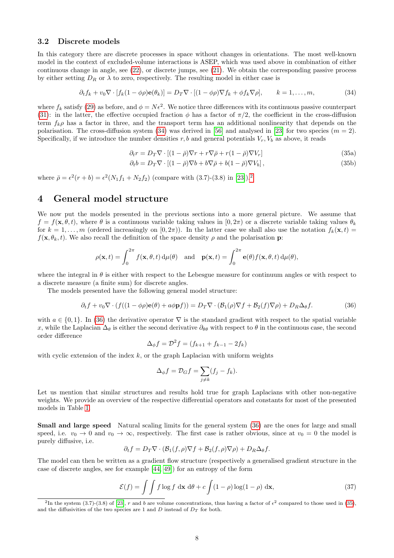### <span id="page-7-5"></span>3.2 Discrete models

In this category there are discrete processes in space without changes in orientations. The most well-known model in the context of excluded-volume interactions is ASEP, which was used above in combination of either continuous change in angle, see [\(22\)](#page-5-0), or discrete jumps, see [\(21\)](#page-4-2). We obtain the corresponding passive process by either setting  $D_R$  or  $\lambda$  to zero, respectively. The resulting model in either case is

$$
\partial_t f_k + v_0 \nabla \cdot [f_k(1 - \phi \rho) \mathbf{e}(\theta_k)] = D_T \nabla \cdot [(1 - \phi \rho) \nabla f_k + \phi f_k \nabla \rho], \qquad k = 1, \dots, m,
$$
\n(34)

where  $f_k$  satisfy [\(29\)](#page-6-5) as before, and  $\phi = N\epsilon^2$ . We notice three differences with its continuous passive counterpart [\(31\)](#page-6-3): in the latter, the effective occupied fraction  $\phi$  has a factor of  $\pi/2$ , the coefficient in the cross-diffusion term  $f_k \rho$  has a factor in three, and the transport term has an additional nonlinearity that depends on the polarisation. The cross-diffusion system [\(34\)](#page-7-1) was derived in [\[56\]](#page-20-4) and analysed in [\[23\]](#page-18-11) for two species ( $m = 2$ ). Specifically, if we introduce the number densities r, b and general potentials  $V_r$ ,  $V_b$  as above, it reads

<span id="page-7-4"></span><span id="page-7-1"></span>
$$
\partial_t r = D_T \nabla \cdot \left[ (1 - \bar{\rho}) \nabla r + r \nabla \bar{\rho} + r (1 - \bar{\rho}) \nabla V_r \right] \tag{35a}
$$

$$
\partial_t b = D_T \nabla \cdot \left[ (1 - \bar{\rho}) \nabla b + b \nabla \bar{\rho} + b (1 - \bar{\rho}) \nabla V_b \right],\tag{35b}
$$

where  $\bar{\rho} = \epsilon^2(r+b) = \epsilon^2(N_1f_1+N_2f_2)$  $\bar{\rho} = \epsilon^2(r+b) = \epsilon^2(N_1f_1+N_2f_2)$  $\bar{\rho} = \epsilon^2(r+b) = \epsilon^2(N_1f_1+N_2f_2)$  (compare with (3.7)-(3.8) in [\[23\]](#page-18-11)).<sup>2</sup>

## <span id="page-7-0"></span>4 General model structure

We now put the models presented in the previous sections into a more general picture. We assume that  $f = f(\mathbf{x}, \theta, t)$ , where  $\theta$  is a continuous variable taking values in  $[0, 2\pi)$  or a discrete variable taking values  $\theta_k$ for  $k = 1, \ldots, m$  (ordered increasingly on  $[0, 2\pi)$ ). In the latter case we shall also use the notation  $f_k(\mathbf{x}, t) =$  $f(\mathbf{x}, \theta_k, t)$ . We also recall the definition of the space density  $\rho$  and the polarisation p:

$$
\rho(\mathbf{x},t) = \int_0^{2\pi} f(\mathbf{x},\theta,t) d\mu(\theta) \text{ and } \mathbf{p}(\mathbf{x},t) = \int_0^{2\pi} \mathbf{e}(\theta) f(\mathbf{x},\theta,t) d\mu(\theta),
$$

where the integral in  $\theta$  is either with respect to the Lebesgue measure for continuum angles or with respect to a discrete measure (a finite sum) for discrete angles.

The models presented have the following general model structure:

<span id="page-7-3"></span>
$$
\partial_t f + v_0 \nabla \cdot (f((1 - \phi \rho) \mathbf{e}(\theta) + a\phi \mathbf{p}f)) = D_T \nabla \cdot (\mathcal{B}_1(\rho) \nabla f + \mathcal{B}_2(f) \nabla \rho) + D_R \Delta_\theta f. \tag{36}
$$

with  $a \in \{0, 1\}$ . In [\(36\)](#page-7-3) the derivative operator  $\nabla$  is the standard gradient with respect to the spatial variable x, while the Laplacian  $\Delta_{\theta}$  is either the second derivative  $\partial_{\theta\theta}$  with respect to  $\theta$  in the continuous case, the second order difference

$$
\Delta_{\phi} f = \mathcal{D}^2 f = (f_{k+1} + f_{k-1} - 2f_k)
$$

with cyclic extension of the index  $k$ , or the graph Laplacian with uniform weights

$$
\Delta_{\phi} f = \mathcal{D}_G f = \sum_{j \neq k} (f_j - f_k).
$$

Let us mention that similar structures and results hold true for graph Laplacians with other non-negative weights. We provide an overview of the respective differential operators and constants for most of the presented models in Table [1.](#page-8-0)

Small and large speed Natural scaling limits for the general system [\(36\)](#page-7-3) are the ones for large and small speed, i.e.  $v_0 \to 0$  and  $v_0 \to \infty$ , respectively. The first case is rather obvious, since at  $v_0 = 0$  the model is purely diffusive, i.e.

$$
\partial_t f = D_T \nabla \cdot (\mathcal{B}_1(f,\rho) \nabla f + \mathcal{B}_2(f,\rho) \nabla \rho) + D_R \Delta_\theta f.
$$

The model can then be written as a gradient flow structure (respectively a generalised gradient structure in the case of discrete angles, see for example [\[44,](#page-19-10) [49\]](#page-19-11)) for an entropy of the form

$$
\mathcal{E}(f) = \int \int f \log f \, \mathrm{d}\mathbf{x} \, \mathrm{d}\theta + c \int (1 - \rho) \log(1 - \rho) \, \mathrm{d}\mathbf{x},\tag{37}
$$

<span id="page-7-2"></span><sup>&</sup>lt;sup>2</sup>In the system (3.7)-(3.8) of [\[23\]](#page-18-11), r and b are volume concentrations, thus having a factor of  $\epsilon^2$  compared to those used in [\(35\)](#page-7-4), and the diffusivities of the two species are 1 and  $D$  instead of  $D_T$  for both.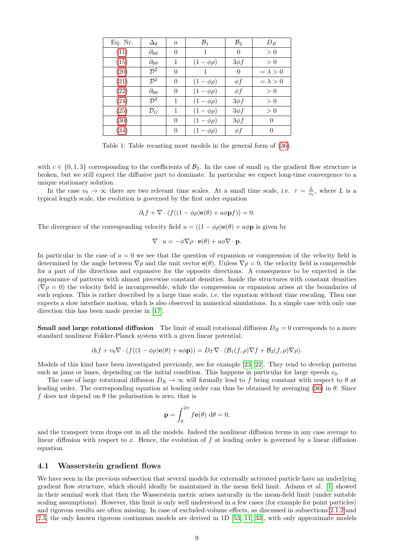| Eq. Nr. | $\Delta_{\theta}$         | $\alpha$       | $\mathcal{B}_1$ | $\mathcal{B}_2$ | $D_R$           |
|---------|---------------------------|----------------|-----------------|-----------------|-----------------|
| (11)    | $\partial_{\theta\theta}$ | $\theta$       | 1               | $\theta$        | > 0             |
| (15)    | $\partial_{\theta\theta}$ | 1              | $(1-\phi\rho)$  | $3\phi f$       | > 0             |
| (20)    | $\mathcal{D}^2$           | $\theta$       |                 | $\theta$        | $= \lambda > 0$ |
| (21)    | $\mathcal{D}^2$           | $\theta$       | $(1-\phi\rho)$  | $\phi f$        | $= \lambda > 0$ |
| (22)    | $\partial_{\theta\theta}$ | $\overline{0}$ | $(1-\phi\rho)$  | $\phi f$        | > 0             |
| (24)    | $\mathcal{D}^2$           | $\mathbf{1}$   | $(1-\phi\rho)$  | $3\phi f$       | > 0             |
| (25)    | $\mathcal{D}_G$           | 1              | $(1-\phi\rho)$  | $3\phi f$       | > 0             |
| (30)    |                           | $\theta$       | $(1-\phi\rho)$  | $3\phi f$       | $\theta$        |
| (34)    |                           | $\theta$       | $(1-\phi\rho)$  | $\phi f$        | $\theta$        |

<span id="page-8-0"></span>Table 1: Table recasting most models in the general form of [\(36\)](#page-7-3).

with  $c \in \{0, 1, 3\}$  corresponding to the coefficients of  $\mathcal{B}_2$ . In the case of small  $v_0$  the gradient flow structure is broken, but we still expect the diffusive part to dominate. In particular we expect long-time convergence to a unique stationary solution.

In the case  $v_0 \to \infty$  there are two relevant time scales. At a small time scale, i.e.  $\tau = \frac{L}{v_0}$ , where L is a typical length scale, the evolution is governed by the first order equation

$$
\partial_t f + \nabla \cdot (f((1 - \phi \rho) \mathbf{e}(\theta) + a\phi \mathbf{p}f)) = 0.
$$

The divergence of the corresponding velocity field  $u = ((1 - \phi \rho) \mathbf{e}(\theta) + a\phi \mathbf{p})$  is given by

$$
\nabla \cdot u = -\phi \nabla \rho \cdot \mathbf{e}(\theta) + a\phi \nabla \cdot \mathbf{p}.
$$

In particular in the case of  $a = 0$  we see that the question of expansion or compression of the velocity field is determined by the angle between  $\nabla \rho$  and the unit vector  $e(\theta)$ . Unless  $\nabla \rho = 0$ , the velocity field is compressible for a part of the directions and expansive for the opposite directions. A consequence to be expected is the appearance of patterns with almost piecewise constant densities. Inside the structures with constant densities  $(\nabla \rho = 0)$  the velocity field is incompressible, while the compression or expansion arises at the boundaries of such regions. This is rather described by a large time scale, i.e. the equation without time rescaling. Then one expects a slow interface motion, which is also observed in numerical simulations. In a simple case with only one direction this has been made precise in [\[17\]](#page-18-12).

**Small and large rotational diffusion** The limit of small rotational diffusion  $D_R = 0$  corresponds to a more standard nonlinear Fokker-Planck system with a given linear potential.

$$
\partial_t f + v_0 \nabla \cdot (f((1 - \phi \rho) \mathbf{e}(\theta) + a\phi \mathbf{p})) = D_T \nabla \cdot (\mathcal{B}_1(f, \rho) \nabla f + \mathcal{B}_2(f, \rho) \nabla \rho).
$$

Models of this kind have been investigated previously, see for example [\[23,](#page-18-11) [22\]](#page-18-13). They tend to develop patterns such as jams or lanes, depending on the initial condition. This happens in particular for large speeds  $v_0$ .

The case of large rotational diffusion  $D_R \to \infty$  will formally lead to f being constant with respect to  $\theta$  at leading order. The corresponding equation at leading order can thus be obtained by averaging [\(36\)](#page-7-3) in  $\theta$ . Since f does not depend on  $\theta$  the polarisation is zero, that is

$$
\mathbf{p} = \int_0^{2\pi} f\mathbf{e}(\theta) \, \mathrm{d}\theta = 0,
$$

and the transport term drops out in all the models. Indeed the nonlinear diffusion terms in any case average to linear diffusion with respect to x. Hence, the evolution of  $f$  at leading order is governed by a linear diffusion equation.

#### 4.1 Wasserstein gradient flows

We have seen in the previous subsection that several models for externally activated particle have an underlying gradient flow structure, which should ideally be maintained in the mean field limit. Adams et al. [\[1\]](#page-15-1) showed in their seminal work that then the Wasserstein metric arises naturally in the mean-field limit (under suitable scaling assumptions). However, this limit is only well understood in a few cases (for example for point particles) and rigorous results are often missing. In case of excluded-volume effects, as discussed in subsections [2.1.2](#page-3-4) and [2.3,](#page-4-3) the only known rigorous continuum models are derived in 1D [\[53,](#page-19-12) [11,](#page-18-14) [33\]](#page-19-13), with only approximate models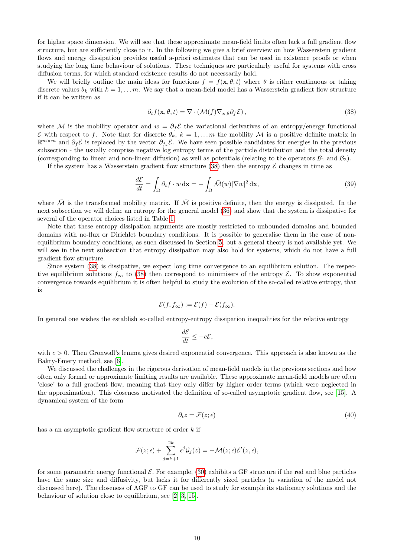for higher space dimension. We will see that these approximate mean-field limits often lack a full gradient flow structure, but are sufficiently close to it. In the following we give a brief overview on how Wasserstein gradient flows and energy dissipation provides useful a-priori estimates that can be used in existence proofs or when studying the long time behaviour of solutions. These techniques are particularly useful for systems with cross diffusion terms, for which standard existence results do not necessarily hold.

We will briefly outline the main ideas for functions  $f = f(\mathbf{x}, \theta, t)$  where  $\theta$  is either continuous or taking discrete values  $\theta_k$  with  $k = 1, \ldots m$ . We say that a mean-field model has a Wasserstein gradient flow structure if it can be written as

<span id="page-9-0"></span>
$$
\partial_t f(\mathbf{x}, \theta, t) = \nabla \cdot (\mathcal{M}(f) \nabla_{\mathbf{x}, \theta} \partial_f \mathcal{E}), \tag{38}
$$

where M is the mobility operator and  $w = \partial_f \mathcal{E}$  the variational derivatives of an entropy/energy functional E with respect to f. Note that for discrete  $\theta_k$ ,  $k = 1, \ldots, m$  the mobility M is a positive definite matrix in  $\mathbb{R}^{m \times m}$  and  $\partial_f \mathcal{E}$  is replaced by the vector  $\partial_{f_k} \mathcal{E}$ . We have seen possible candidates for energies in the previous subsection - the usually comprise negative log entropy terms of the particle distribution and the total density (corresponding to linear and non-linear diffusion) as well as potentials (relating to the operators  $\mathcal{B}_1$  and  $\mathcal{B}_2$ ).

If the system has a Wasserstein gradient flow structure [\(38\)](#page-9-0) then the entropy  $\mathcal E$  changes in time as

$$
\frac{d\mathcal{E}}{dt} = \int_{\Omega} \partial_t f \cdot w \, \mathrm{d}\mathbf{x} = -\int_{\Omega} \bar{\mathcal{M}}(w) |\nabla w|^2 \, \mathrm{d}\mathbf{x},\tag{39}
$$

where  $\overline{\mathcal{M}}$  is the transformed mobility matrix. If  $\overline{\mathcal{M}}$  is positive definite, then the energy is dissipated. In the next subsection we will define an entropy for the general model [\(36\)](#page-7-3) and show that the system is dissipative for several of the operator choices listed in Table [1.](#page-8-0)

Note that these entropy dissipation arguments are mostly restricted to unbounded domains and bounded domains with no-flux or Dirichlet boundary conditions. It is possible to generalise them in the case of nonequilibrium boundary conditions, as such discussed in Section [5,](#page-11-0) but a general theory is not available yet. We will see in the next subsection that entropy dissipation may also hold for systems, which do not have a full gradient flow structure.

Since system [\(38\)](#page-9-0) is dissipative, we expect long time convergence to an equilibrium solution. The respective equilibrium solutions  $f_{\infty}$  to [\(38\)](#page-9-0) then correspond to minimisers of the entropy  $\mathcal{E}$ . To show exponential convergence towards equilibrium it is often helpful to study the evolution of the so-called relative entropy, that is

$$
\mathcal{E}(f, f_{\infty}) := \mathcal{E}(f) - \mathcal{E}(f_{\infty}).
$$

In general one wishes the establish so-called entropy-entropy dissipation inequalities for the relative entropy

$$
\frac{d\mathcal{E}}{dt} \le -c\mathcal{E},
$$

with  $c > 0$ . Then Gronwall's lemma gives desired exponential convergence. This approach is also known as the Bakry-Emery method, see [\[6\]](#page-18-15).

We discussed the challenges in the rigorous derivation of mean-field models in the previous sections and how often only formal or approximate limiting results are available. These approximate mean-field models are often 'close' to a full gradient flow, meaning that they only differ by higher order terms (which were neglected in the approximation). This closeness motivated the definition of so-called asymptotic gradient flow, see [\[15\]](#page-18-10). A dynamical system of the form

$$
\partial_t z = \mathcal{F}(z; \epsilon) \tag{40}
$$

has a an asymptotic gradient flow structure of order k if

$$
\mathcal{F}(z;\epsilon) + \sum_{j=k+1}^{2k} \epsilon^j \mathcal{G}_j(z) = -\mathcal{M}(z;\epsilon) \mathcal{E}'(z,\epsilon),
$$

for some parametric energy functional  $\mathcal{E}$ . For example, [\(30\)](#page-6-2) exhibits a GF structure if the red and blue particles have the same size and diffusivity, but lacks it for differently sized particles (a variation of the model not discussed here). The closeness of AGF to GF can be used to study for example its stationary solutions and the behaviour of solution close to equilibrium, see [\[2,](#page-15-2) [3,](#page-15-3) [15\]](#page-18-10).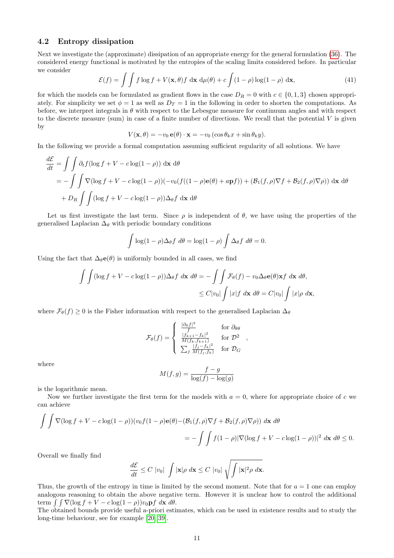### 4.2 Entropy dissipation

Next we investigate the (approximate) dissipation of an appropriate energy for the general formulation [\(36\)](#page-7-3). The considered energy functional is motivated by the entropies of the scaling limits considered before. In particular we consider

$$
\mathcal{E}(f) = \int \int f \log f + V(\mathbf{x}, \theta) f \, d\mathbf{x} \, d\mu(\theta) + c \int (1 - \rho) \log(1 - \rho) \, d\mathbf{x},\tag{41}
$$

for which the models can be formulated as gradient flows in the case  $D_R = 0$  with  $c \in \{0, 1, 3\}$  chosen appropriately. For simplicity we set  $\phi = 1$  as well as  $D_T = 1$  in the following in order to shorten the computations. As before, we interpret integrals in  $\theta$  with respect to the Lebesgue measure for continuum angles and with respect to the discrete measure (sum) in case of a finite number of directions. We recall that the potential  $V$  is given by

$$
V(\mathbf{x}, \theta) = -v_0 \mathbf{e}(\theta) \cdot \mathbf{x} = -v_0 (\cos \theta_k x + \sin \theta_k y).
$$

In the following we provide a formal computation assuming sufficient regularity of all solutions. We have

$$
\frac{d\mathcal{E}}{dt} = \iint \partial_t f(\log f + V - c \log(1 - \rho)) \, d\mathbf{x} \, d\theta
$$
  
= 
$$
- \iint \nabla (\log f + V - c \log(1 - \rho)) (-v_0 (f((1 - \rho)\mathbf{e}(\theta) + a\mathbf{p}f)) + (\mathcal{B}_1(f, \rho)\nabla f + \mathcal{B}_2(f, \rho)\nabla \rho)) \, d\mathbf{x} \, d\theta
$$
  
+ 
$$
D_R \iint (\log f + V - c \log(1 - \rho)) \Delta_\theta f \, d\mathbf{x} \, d\theta
$$

Let us first investigate the last term. Since  $\rho$  is independent of  $\theta$ , we have using the properties of the generalised Laplacian  $\Delta_{\theta}$  with periodic boundary conditions

$$
\int \log(1 - \rho) \Delta_{\theta} f \ d\theta = \log(1 - \rho) \int \Delta_{\theta} f \ d\theta = 0.
$$

Using the fact that  $\Delta_{\theta}e(\theta)$  is uniformly bounded in all cases, we find

$$
\int \int (\log f + V - c \log(1 - \rho)) \Delta_{\theta} f \, d\mathbf{x} \, d\theta = - \int \int \mathcal{F}_{\theta}(f) - v_0 \Delta_{\theta} \mathbf{e}(\theta) \mathbf{x} f \, d\mathbf{x} \, d\theta,
$$
  

$$
\leq C|v_0| \int |x| f \, d\mathbf{x} \, d\theta = C|v_0| \int |x| \rho \, d\mathbf{x},
$$

where  $\mathcal{F}_{\theta}(f) \geq 0$  is the Fisher information with respect to the generalised Laplacian  $\Delta_{\theta}$ 

$$
\mathcal{F}_{\theta}(f) = \begin{cases}\n\frac{|\partial_{\theta}f|^2}{f} & \text{for } \partial_{\theta\theta} \\
\frac{|f_{k+1}-f_k|^2}{M(f_k, f_{k+1})} & \text{for } \mathcal{D}^2 \\
\sum_j \frac{|f_j - f_k|^2}{M(f_j, f_k)} & \text{for } \mathcal{D}_G\n\end{cases}
$$

where

$$
M(f,g) = \frac{f-g}{\log(f) - \log(g)}
$$

is the logarithmic mean.

Now we further investigate the first term for the models with  $a = 0$ , where for appropriate choice of c we can achieve

$$
\int \int \nabla(\log f + V - c \log(1 - \rho)) (v_0 f(1 - \rho) \mathbf{e}(\theta) - (\mathcal{B}_1(f, \rho) \nabla f + \mathcal{B}_2(f, \rho) \nabla \rho)) d\mathbf{x} d\theta
$$
  
= 
$$
- \int \int f(1 - \rho) |\nabla(\log f + V - c \log(1 - \rho))|^2 d\mathbf{x} d\theta \le 0.
$$

Overall we finally find

$$
\frac{d\mathcal{E}}{dt} \leq C \, |v_0| \, \int |\mathbf{x}| \rho \, d\mathbf{x} \leq C \, |v_0| \, \sqrt{\int |\mathbf{x}|^2 \rho \, d\mathbf{x}}.
$$

Thus, the growth of the entropy in time is limited by the second moment. Note that for  $a = 1$  one can employ analogous reasoning to obtain the above negative term. However it is unclear how to control the additional term  $\int \int \nabla (\log f + V - c \log(1 - \rho)) v_0 \mathbf{p} f \, d\mathbf{x} \, d\theta.$ 

The obtained bounds provide useful a-priori estimates, which can be used in existence results and to study the long-time behaviour, see for example [\[20,](#page-18-16) [39\]](#page-19-14).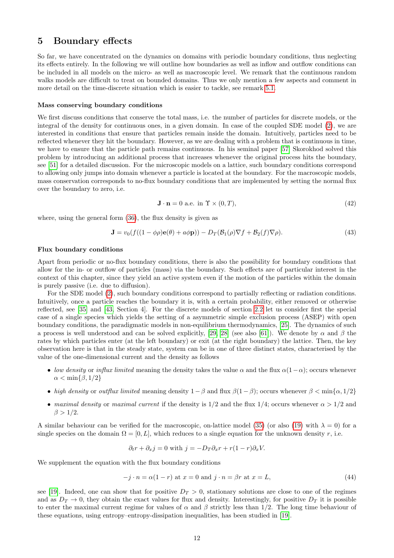## <span id="page-11-0"></span>5 Boundary effects

So far, we have concentrated on the dynamics on domains with periodic boundary conditions, thus neglecting its effects entirely. In the following we will outline how boundaries as well as inflow and outflow conditions can be included in all models on the micro- as well as macroscopic level. We remark that the continuous random walks models are difficult to treat on bounded domains. Thus we only mention a few aspects and comment in more detail on the time-discrete situation which is easier to tackle, see remark [5.1.](#page-12-2)

#### Mass conserving boundary conditions

We first discuss conditions that conserve the total mass, i.e. the number of particles for discrete models, or the integral of the density for continuous ones, in a given domain. In case of the coupled SDE model [\(2\)](#page-1-1), we are interested in conditions that ensure that particles remain inside the domain. Intuitively, particles need to be reflected whenever they hit the boundary. However, as we are dealing with a problem that is continuous in time, we have to ensure that the particle path remains continuous. In his seminal paper [\[57\]](#page-20-5) Skorokhod solved this problem by introducing an additional process that increases whenever the original process hits the boundary, see [\[51\]](#page-19-15) for a detailed discussion. For the microscopic models on a lattice, such boundary conditions correspond to allowing only jumps into domain whenever a particle is located at the boundary. For the macroscopic models, mass conservation corresponds to no-flux boundary conditions that are implemented by setting the normal flux over the boundary to zero, i.e.

<span id="page-11-3"></span><span id="page-11-1"></span>
$$
\mathbf{J} \cdot \mathbf{n} = 0 \text{ a.e. in } \Upsilon \times (0, T), \tag{42}
$$

where, using the general form [\(36\)](#page-7-3), the flux density is given as

$$
\mathbf{J} = v_0(f((1 - \phi \rho)\mathbf{e}(\theta) + a\phi \mathbf{p})) - D_T(\mathcal{B}_1(\rho)\nabla f + \mathcal{B}_2(f)\nabla \rho).
$$
 (43)

#### Flux boundary conditions

Apart from periodic or no-flux boundary conditions, there is also the possibility for boundary conditions that allow for the in- or outflow of particles (mass) via the boundary. Such effects are of particular interest in the context of this chapter, since they yield an active system even if the motion of the particles within the domain is purely passive (i.e. due to diffusion).

For the SDE model [\(2\)](#page-1-1), such boundary conditions correspond to partially reflecting or radiation conditions. Intuitively, once a particle reaches the boundary it is, with a certain probability, either removed or otherwise reflected, see [\[35\]](#page-19-16) and [\[43,](#page-19-17) Section 4]. For the discrete models of section [2.2](#page-4-4) let us consider first the special case of a single species which yields the setting of a asymmetric simple exclusion process (ASEP) with open boundary conditions, the paradigmatic models in non-equilibrium thermodynamics, [\[25\]](#page-18-17). The dynamics of such a process is well understood and can be solved explicitly, [\[29,](#page-18-18) [28\]](#page-18-19) (see also [\[61\]](#page-20-6)). We denote by  $\alpha$  and  $\beta$  the rates by which particles enter (at the left boundary) or exit (at the right boundary) the lattice. Then, the key observation here is that in the steady state, system can be in one of three distinct states, characterised by the value of the one-dimensional current and the density as follows

- low density or influx limited meaning the density takes the value  $\alpha$  and the flux  $\alpha(1-\alpha)$ ; occurs whenever  $\alpha < \min\{\beta, 1/2\}$
- high density or outflux limited meaning density  $1-\beta$  and flux  $\beta(1-\beta)$ ; occurs whenever  $\beta < \min\{\alpha, 1/2\}$
- maximal density or maximal current if the density is  $1/2$  and the flux  $1/4$ ; occurs whenever  $\alpha > 1/2$  and  $\beta > 1/2$ .

A similar behaviour can be verified for the macroscopic, on-lattice model [\(35\)](#page-7-4) (or also [\(19\)](#page-4-5) with  $\lambda = 0$ ) for a single species on the domain  $\Omega = [0, L]$ , which reduces to a single equation for the unknown density r, i.e.

<span id="page-11-2"></span>
$$
\partial_t r + \partial_x j = 0
$$
 with  $j = -D_T \partial_x r + r(1 - r) \partial_x V$ .

We supplement the equation with the flux boundary conditions

$$
-j \cdot n = \alpha(1 - r) \text{ at } x = 0 \text{ and } j \cdot n = \beta r \text{ at } x = L,
$$
\n(44)

see [\[19\]](#page-18-20). Indeed, one can show that for positive  $D_T > 0$ , stationary solutions are close to one of the regimes and as  $D_T \to 0$ , they obtain the exact values for flux and density. Interestingly, for positive  $D_T$  it is possible to enter the maximal current regime for values of  $\alpha$  and  $\beta$  strictly less than 1/2. The long time behaviour of these equations, using entropy–entropy-dissipation inequalities, has been studied in [\[19\]](#page-18-20).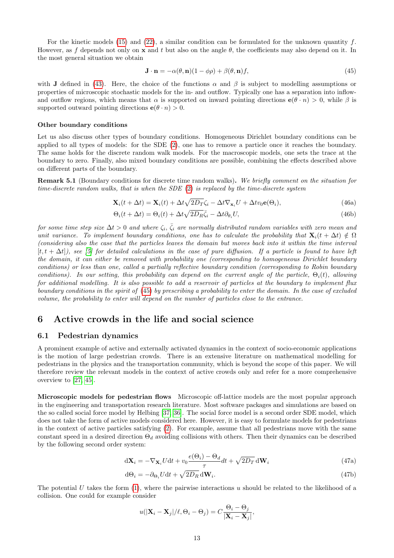For the kinetic models [\(15\)](#page-3-3) and [\(22\)](#page-5-0), a similar condition can be formulated for the unknown quantity f. However, as f depends not only on x and t but also on the angle  $\theta$ , the coefficients may also depend on it. In the most general situation we obtain

<span id="page-12-3"></span>
$$
\mathbf{J} \cdot \mathbf{n} = -\alpha(\theta, \mathbf{n})(1 - \phi \rho) + \beta(\theta, \mathbf{n})f,\tag{45}
$$

with J defined in [\(43\)](#page-11-1). Here, the choice of the functions  $\alpha$  and  $\beta$  is subject to modelling assumptions or properties of microscopic stochastic models for the in- and outflow. Typically one has a separation into inflowand outflow regions, which means that  $\alpha$  is supported on inward pointing directions  $e(\theta \cdot n) > 0$ , while  $\beta$  is supported outward pointing directions  $e(\theta \cdot n) > 0$ .

#### Other boundary conditions

Let us also discuss other types of boundary conditions. Homogeneous Dirichlet boundary conditions can be applied to all types of models: for the SDE [\(2\)](#page-1-1), one has to remove a particle once it reaches the boundary. The same holds for the discrete random walk models. For the macroscopic models, one sets the trace at the boundary to zero. Finally, also mixed boundary conditions are possible, combining the effects described above on different parts of the boundary.

<span id="page-12-2"></span>Remark 5.1 (Boundary conditions for discrete time random walks). We briefly comment on the situation for time-discrete random walks, that is when the SDE [\(2\)](#page-1-1) is replaced by the time-discrete system

$$
\mathbf{X}_{i}(t + \Delta t) = \mathbf{X}_{i}(t) + \Delta t \sqrt{2D_{T}} \zeta_{i} - \Delta t \nabla_{\mathbf{x}_{i}} U + \Delta t v_{0} \mathbf{e}(\Theta_{i}),
$$
\n(46a)

$$
\Theta_i(t + \Delta t) = \Theta_i(t) + \Delta t \sqrt{2D_R \bar{\zeta}_i} - \Delta t \partial_{\theta_i} U,\tag{46b}
$$

for some time step size  $\Delta t > 0$  and where  $\zeta_i, \bar{\zeta}_i$  are normally distributed random variables with zero mean and unit variance. To implement boundary conditions, one has to calculate the probability that  $\mathbf{X}_i(t + \Delta t) \notin \Omega$ (considering also the case that the particles leaves the domain but moves back into it within the time interval  $[t, t + \Delta t]$ , see [\[5\]](#page-18-21) for detailed calculations in the case of pure diffusion. If a particle is found to have left the domain, it can either be removed with probability one (corresponding to homogeneous Dirichlet boundary conditions) or less than one, called a partially reflective boundary condition (corresponding to Robin boundary conditions). In our setting, this probability can depend on the current angle of the particle,  $\Theta_i(t)$ , allowing for additional modelling. It is also possible to add a reservoir of particles at the boundary to implement flux boundary conditions in the spirit of [\(45\)](#page-12-3) by prescribing a probability to enter the domain. In the case of excluded volume, the probability to enter will depend on the number of particles close to the entrance.

## <span id="page-12-0"></span>6 Active crowds in the life and social science

### <span id="page-12-1"></span>6.1 Pedestrian dynamics

A prominent example of active and externally activated dynamics in the context of socio-economic applications is the motion of large pedestrian crowds. There is an extensive literature on mathematical modelling for pedestrians in the physics and the transportation community, which is beyond the scope of this paper. We will therefore review the relevant models in the context of active crowds only and refer for a more comprehensive overview to [\[27,](#page-18-4) [45\]](#page-19-18).

Microscopic models for pedestrian flows Microscopic off-lattice models are the most popular approach in the engineering and transportation research literature. Most software packages and simulations are based on the so called social force model by Helbing [\[37,](#page-19-19) [36\]](#page-19-20). The social force model is a second order SDE model, which does not take the form of active models considered here. However, it is easy to formulate models for pedestrians in the context of active particles satisfying [\(2\)](#page-1-1). For example, assume that all pedestrians move with the same constant speed in a desired direction  $\Theta_d$  avoiding collisions with others. Then their dynamics can be described by the following second order system:

$$
d\mathbf{X}_{i} = -\nabla_{\mathbf{X}_{i}} U dt + v_{0} \frac{e(\Theta_{i}) - \Theta_{d}}{\tau} dt + \sqrt{2D_{T}} d\mathbf{W}_{i}
$$
(47a)

$$
d\Theta_i = -\partial_{\Theta_i} U dt + \sqrt{2D_R} dW_i.
$$
\n(47b)

The potential U takes the form  $(1)$ , where the pairwise interactions u should be related to the likelihood of a collision. One could for example consider

$$
u(|\mathbf{X}_i - \mathbf{X}_j|/\ell, \Theta_i - \Theta_j) = C \frac{\Theta_i - \Theta_j}{|\mathbf{X}_i - \mathbf{X}_j|},
$$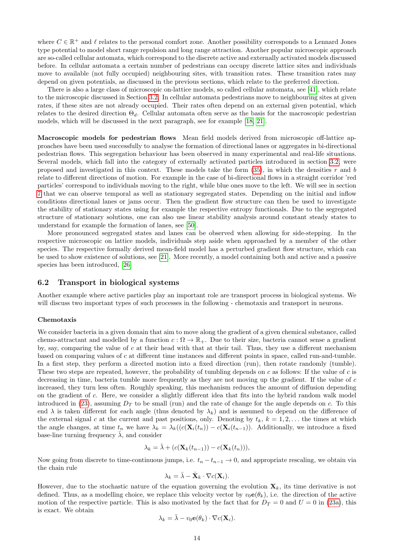where  $C \in \mathbb{R}^+$  and  $\ell$  relates to the personal comfort zone. Another possibility corresponds to a Lennard Jones type potential to model short range repulsion and long range attraction. Another popular microscopic approach are so-called cellular automata, which correspond to the discrete active and externally activated models discussed before. In cellular automata a certain number of pedestrians can occupy discrete lattice sites and individuals move to available (not fully occupied) neighbouring sites, with transition rates. These transition rates may depend on given potentials, as discussed in the previous sections, which relate to the preferred direction.

There is also a large class of microscopic on-lattice models, so called cellular automata, see [\[41\]](#page-19-21), which relate to the microscopic discussed in Section [3.2.](#page-7-5) In cellular automata pedestrians move to neighbouring sites at given rates, if these sites are not already occupied. Their rates often depend on an external given potential, which relates to the desired direction  $\Theta_d$ . Cellular automata often serve as the basis for the macroscopic pedestrian models, which will be discussed in the next paragraph, see for example [\[18,](#page-18-22) [21\]](#page-18-2).

Macroscopic models for pedestrian flows Mean field models derived from microscopic off-lattice approaches have been used successfully to analyse the formation of directional lanes or aggregates in bi-directional pedestrian flows. This segregation behaviour has been observed in many experimental and real-life situations. Several models, which fall into the category of externally activated particles introduced in section [3.2,](#page-7-5) were proposed and investigated in this context. These models take the form  $(35)$ , in which the densities r and b relate to different directions of motion. For example in the case of bi-directional flows in a straight corridor 'red particles' correspond to individuals moving to the right, while blue ones move to the left. We will see in section [7](#page-14-0) that we can observe temporal as well as stationary segregated states. Depending on the initial and inflow conditions directional lanes or jams occur. Then the gradient flow structure can then be used to investigate the stability of stationary states using for example the respective entropy functionals. Due to the segregated structure of stationary solutions, one can also use linear stability analysis around constant steady states to understand for example the formation of lanes, see [\[50\]](#page-19-22).

More pronounced segregated states and lanes can be observed when allowing for side-stepping. In the respective microscopic on lattice models, individuals step aside when approached by a member of the other species. The respective formally derived mean-field model has a perturbed gradient flow structure, which can be used to show existence of solutions, see [\[21\]](#page-18-2). More recently, a model containing both and active and a passive species has been introduced, [\[26\]](#page-18-3)

### <span id="page-13-0"></span>6.2 Transport in biological systems

Another example where active particles play an important role are transport process in biological systems. We will discuss two important types of such processes in the following - chemotaxis and transport in neurons.

#### Chemotaxis

We consider bacteria in a given domain that aim to move along the gradient of a given chemical substance, called chemo-attractant and modelled by a function  $c : \Omega \to \mathbb{R}_+$ . Due to their size, bacteria cannot sense a gradient by, say, comparing the value of  $c$  at their head with that at their tail. Thus, they use a different mechanism based on comparing values of c at different time instances and different points in space, called run-and-tumble. In a first step, they perform a directed motion into a fixed direction (run), then rotate randomly (tumble). These two steps are repeated, however, the probability of tumbling depends on c as follows: If the value of c is decreasing in time, bacteria tumble more frequently as they are not moving up the gradient. If the value of c increased, they turn less often. Roughly speaking, this mechanism reduces the amount of diffusion depending on the gradient of c. Here, we consider a slightly different idea that fits into the hybrid random walk model introduced in [\(23\)](#page-5-2), assuming  $D<sub>T</sub>$  to be small (run) and the rate of change for the angle depends on c. To this end  $\lambda$  is taken different for each angle (thus denoted by  $\lambda_k$ ) and is assumed to depend on the difference of the external signal c at the current and past positions, only. Denoting by  $t_k$ ,  $k = 1, 2, \ldots$  the times at which the angle changes, at time  $t_n$  we have  $\lambda_k = \lambda_k((c(\mathbf{X}_i(t_n)) - c(\mathbf{X}_i(t_{n-1}))$ . Additionally, we introduce a fixed base-line turning frequency  $\bar{\lambda}$ , and consider

$$
\lambda_k = \bar{\lambda} + (c(\mathbf{X}_k(t_{n-1})) - c(\mathbf{X}_k(t_n))),
$$

Now going from discrete to time-continuous jumps, i.e.  $t_n - t_{n-1} \to 0$ , and appropriate rescaling, we obtain via the chain rule

$$
\lambda_k = \bar{\lambda} - \dot{\mathbf{X}}_k \cdot \nabla c(\mathbf{X}_i).
$$

However, due to the stochastic nature of the equation governing the evolution  $\mathbf{X}_k$ , its time derivative is not defined. Thus, as a modelling choice, we replace this velocity vector by  $v_0e(\theta_k)$ , i.e. the direction of the active motion of the respective particle. This is also motivated by the fact that for  $D_T = 0$  and  $U = 0$  in [\(23a\)](#page-5-5), this is exact. We obtain

$$
\lambda_k = \bar{\lambda} - v_0 \mathbf{e}(\theta_k) \cdot \nabla c(\mathbf{X}_i).
$$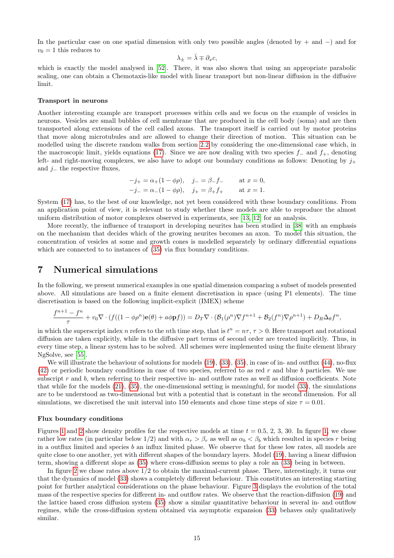In the particular case on one spatial dimension with only two possible angles (denoted by + and −) and for  $v_0 = 1$  this reduces to

$$
\lambda_{\pm}=\bar{\lambda}\mp\partial_{x}c,
$$

which is exactly the model analysed in [\[52\]](#page-19-23). There, it was also shown that using an appropriate parabolic scaling, one can obtain a Chemotaxis-like model with linear transport but non-linear diffusion in the diffusive limit.

#### Transport in neurons

Another interesting example are transport processes within cells and we focus on the example of vesicles in neurons. Vesicles are small bubbles of cell membrane that are produced in the cell body (soma) and are then transported along extensions of the cell called axons. The transport itself is carried out by motor proteins that move along microtubules and are allowed to change their direction of motion. This situation can be modelled using the discrete random walks from section [2.2](#page-4-4) by considering the one-dimensional case which, in the macroscopic limit, yields equations [\(17\)](#page-4-0). Since we are now dealing with two species  $f_-\,$  and  $f_+$ , denoting left- and right-moving complexes, we also have to adopt our boundary conditions as follows: Denoting by  $j_+$ and  $j_$  the respective fluxes,

$$
-j_{+} = \alpha_{+}(1 - \phi \rho), \quad j_{-} = \beta_{-} f_{-} \quad \text{at } x = 0,
$$
  
 $-j_{-} = \alpha_{-}(1 - \phi \rho), \quad j_{+} = \beta_{+} f_{+} \quad \text{at } x = 1.$ 

System [\(17\)](#page-4-0) has, to the best of our knowledge, not yet been considered with these boundary conditions. From an application point of view, it is relevant to study whether these models are able to reproduce the almost uniform distribution of motor complexes observed in experiments, see [\[13,](#page-18-23) [12\]](#page-18-24) for an analysis.

More recently, the influence of transport in developing neurites has been studied in [\[38\]](#page-19-24) with an emphasis on the mechanism that decides which of the growing neurites becomes an axon. To model this situation, the concentration of vesicles at some and growth cones is modelled separately by ordinary differential equations which are connected to to instances of  $(35)$  via flux boundary conditions.

### <span id="page-14-0"></span>7 Numerical simulations

In the following, we present numerical examples in one spatial dimension comparing a subset of models presented above. All simulations are based on a finite element discretisation in space (using P1 elements). The time discretisation is based on the following implicit-explicit (IMEX) scheme

$$
\frac{f^{n+1}-f^n}{\tau}+v_0\nabla\cdot\left(f((1-\phi\rho^n)\mathbf{e}(\theta)+a\phi\mathbf{p}f)\right)=D_T\nabla\cdot\left(\mathcal{B}_1(\rho^n)\nabla f^{n+1}+\mathcal{B}_2(f^n)\nabla\rho^{n+1}\right)+D_R\Delta_\theta f^n,
$$

in which the superscript index n refers to the nth time step, that is  $t^n = n\tau$ ,  $\tau > 0$ . Here transport and rotational diffusion are taken explicitly, while in the diffusive part terms of second order are treated implicitly. Thus, in every time step, a linear system has to be solved. All schemes were implemented using the finite element library NgSolve, see [\[55\]](#page-20-7).

We will illustrate the behaviour of solutions for models [\(19\)](#page-4-5), [\(33\)](#page-6-6), [\(35\)](#page-7-4), in case of in- and outflux [\(44\)](#page-11-2), no-flux  $(42)$  or periodic boundary conditions in case of two species, referred to as red r and blue b particles. We use subscript  $r$  and  $b$ , when referring to their respective in- and outflow rates as well as diffusion coefficients. Note that while for the models [\(21\)](#page-4-2), [\(35\)](#page-7-4), the one-dimensional setting is meaningful, for model [\(33\)](#page-6-6), the simulations are to be understood as two-dimensional but with a potential that is constant in the second dimension. For all simulations, we discretised the unit interval into 150 elements and chose time steps of size  $\tau = 0.01$ .

#### Flux boundary conditions

Figures [1](#page-15-4) and [2](#page-16-0) show density profiles for the respective models at time  $t = 0.5, 2, 3, 30$ . In figure [1,](#page-15-4) we chose rather low rates (in particular below 1/2) and with  $\alpha_r > \beta_r$  as well as  $\alpha_b < \beta_b$  which resulted in species r being in a outflux limited and species  $b$  an influx limited phase. We observe that for these low rates, all models are quite close to one another, yet with different shapes of the boundary layers. Model [\(19\)](#page-4-5), having a linear diffusion term, showing a different slope as [\(35\)](#page-7-4) where cross-diffusion seems to play a role an [\(33\)](#page-6-6) being in between.

In figure [2](#page-16-0) we chose rates above 1/2 to obtain the maximal-current phase. There, interestingly, it turns our that the dynamics of model [\(33\)](#page-6-6) shows a completely different behaviour. This constitutes an interesting starting point for further analytical considerations on the phase behaviour. Figure [3](#page-16-1) displays the evolution of the total mass of the respective species for different in- and outflow rates. We observe that the reaction-diffusion [\(19\)](#page-4-5) and the lattice based cross diffusion system [\(35\)](#page-7-4) show a similar quantitative behaviour in several in- and outflow regimes, while the cross-diffusion system obtained via asymptotic expansion [\(33\)](#page-6-6) behaves only qualitatively similar.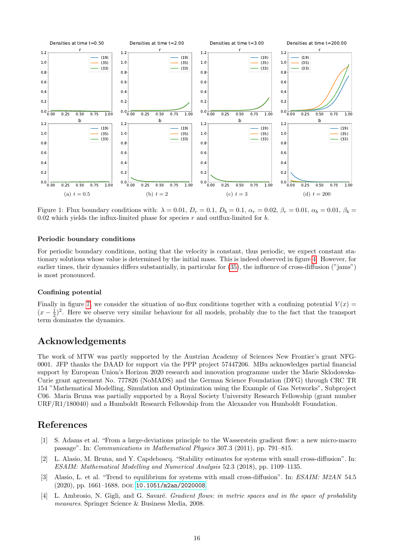

<span id="page-15-4"></span>Figure 1: Flux boundary conditions with:  $\lambda = 0.01$ ,  $D_r = 0.1$ ,  $D_b = 0.1$ ,  $\alpha_r = 0.02$ ,  $\beta_r = 0.01$ ,  $\alpha_b = 0.01$ ,  $\beta_b = 0.01$ 0.02 which yields the influx-limited phase for species  $r$  and outflux-limited for  $b$ .

#### Periodic boundary conditions

For periodic boundary conditions, noting that the velocity is constant, thus periodic, we expect constant stationary solutions whose value is determined by the initial mass. This is indeed observed in figure [4.](#page-17-0) However, for earlier times, their dynamics differs substantially, in particular for [\(35\)](#page-7-4), the influence of cross-diffusion ("jams") is most pronounced.

#### Confining potential

Finally in figure [7,](#page-17-1) we consider the situation of no-flux conditions together with a confining potential  $V(x)$  $(x-\frac{1}{2})^2$ . Here we observe very similar behaviour for all models, probably due to the fact that the transport term dominates the dynamics.

## Acknowledgements

The work of MTW was partly supported by the Austrian Academy of Sciences New Frontier's grant NFG-0001. JFP thanks the DAAD for support via the PPP project 57447206. MBu acknowledges partial financial support by European Union's Horizon 2020 research and innovation programme under the Marie Sklodowska-Curie grant agreement No. 777826 (NoMADS) and the German Science Foundation (DFG) through CRC TR 154 "Mathematical Modelling, Simulation and Optimization using the Example of Gas Networks", Subproject C06. Maria Bruna was partially supported by a Royal Society University Research Fellowship (grant number URF/R1/180040) and a Humboldt Research Fellowship from the Alexander von Humboldt Foundation.

### References

- <span id="page-15-1"></span>[1] S. Adams et al. "From a large-deviations principle to the Wasserstein gradient flow: a new micro-macro passage". In: Communications in Mathematical Physics 307.3 (2011), pp. 791–815.
- <span id="page-15-2"></span>[2] L. Alasio, M. Bruna, and Y. Capdeboscq. "Stability estimates for systems with small cross-diffusion". In: ESAIM: Mathematical Modelling and Numerical Analysis 52.3 (2018), pp. 1109–1135.
- <span id="page-15-3"></span>[3] Alasio, L. et al. "Trend to equilibrium for systems with small cross-diffusion". In: ESAIM: M2AN 54.5  $(2020)$ , pp. 1661–1688. DOI: [10.1051/m2an/2020008](https://doi.org/10.1051/m2an/2020008).
- <span id="page-15-0"></span>[4] L. Ambrosio, N. Gigli, and G. Savaré. *Gradient flows: in metric spaces and in the space of probability* measures. Springer Science & Business Media, 2008.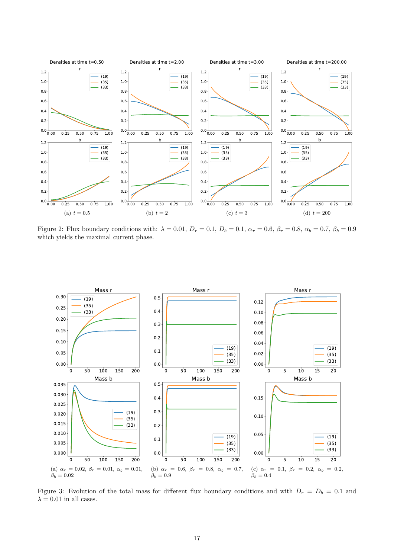

<span id="page-16-0"></span>Figure 2: Flux boundary conditions with:  $\lambda = 0.01$ ,  $D_r = 0.1$ ,  $D_b = 0.1$ ,  $\alpha_r = 0.6$ ,  $\beta_r = 0.8$ ,  $\alpha_b = 0.7$ ,  $\beta_b = 0.9$ which yields the maximal current phase.



<span id="page-16-1"></span>Figure 3: Evolution of the total mass for different flux boundary conditions and with  $D_r = D_b = 0.1$  and  $\lambda = 0.01$  in all cases.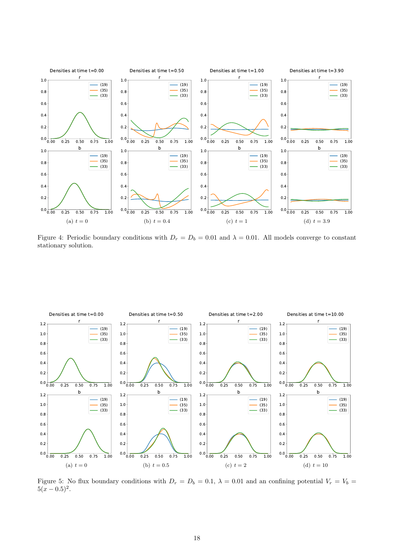

<span id="page-17-0"></span>Figure 4: Periodic boundary conditions with  $D_r = D_b = 0.01$  and  $\lambda = 0.01$ . All models converge to constant stationary solution.



<span id="page-17-1"></span>Figure 5: No flux boundary conditions with  $D_r = D_b = 0.1$ ,  $\lambda = 0.01$  and an confining potential  $V_r = V_b =$  $5(x-0.5)^2$ .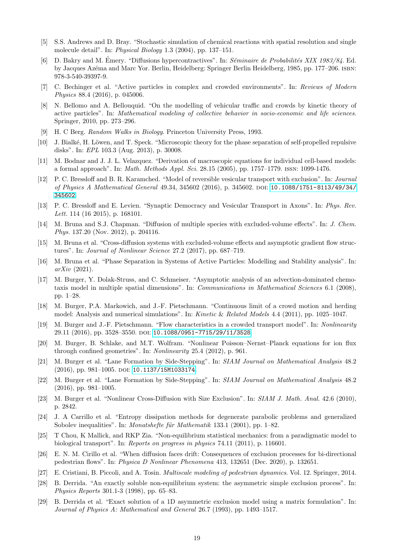- <span id="page-18-21"></span>[5] S.S. Andrews and D. Bray. "Stochastic simulation of chemical reactions with spatial resolution and single molecule detail". In: Physical Biology 1.3 (2004), pp. 137–151.
- <span id="page-18-15"></span>[6] D. Bakry and M. Émery. "Diffusions hypercontractives". In: Séminaire de Probabilités XIX 1983/84. Ed. by Jacques Azéma and Marc Yor. Berlin, Heidelberg: Springer Berlin Heidelberg, 1985, pp. 177–206. ISBN: 978-3-540-39397-9.
- <span id="page-18-0"></span>[7] C. Bechinger et al. "Active particles in complex and crowded environments". In: Reviews of Modern Physics 88.4 (2016), p. 045006.
- <span id="page-18-1"></span>[8] N. Bellomo and A. Bellouquid. "On the modelling of vehicular traffic and crowds by kinetic theory of active particles". In: Mathematical modeling of collective behavior in socio-economic and life sciences. Springer, 2010, pp. 273–296.
- <span id="page-18-8"></span>[9] H. C Berg. Random Walks in Biology. Princeton University Press, 1993.
- <span id="page-18-6"></span>[10] J. Bialké, H. Löwen, and T. Speck. "Microscopic theory for the phase separation of self-propelled repulsive disks". In: EPL 103.3 (Aug. 2013), p. 30008.
- <span id="page-18-14"></span>[11] M. Bodnar and J. J. L. Velazquez. "Derivation of macroscopic equations for individual cell-based models: a formal approach". In: Math. Methods Appl. Sci. 28.15 (2005), pp. 1757–1779. issn: 1099-1476.
- <span id="page-18-24"></span>[12] P. C. Bressloff and B. R. Karamched. "Model of reversible vesicular transport with exclusion". In: Journal of Physics A Mathematical General 49.34, 345602 (2016), p. 345602. doi: [10.1088/1751-8113/49/34/](https://doi.org/10.1088/1751-8113/49/34/345602) [345602](https://doi.org/10.1088/1751-8113/49/34/345602).
- <span id="page-18-23"></span>[13] P. C. Bressloff and E. Levien. "Synaptic Democracy and Vesicular Transport in Axons". In: Phys. Rev. Lett. 114 (16 2015), p. 168101.
- <span id="page-18-9"></span>[14] M. Bruna and S.J. Chapman. "Diffusion of multiple species with excluded-volume effects". In: J. Chem. Phys. 137.20 (Nov. 2012), p. 204116.
- <span id="page-18-10"></span>[15] M. Bruna et al. "Cross-diffusion systems with excluded-volume effects and asymptotic gradient flow structures". In: Journal of Nonlinear Science 27.2 (2017), pp. 687–719.
- <span id="page-18-7"></span>[16] M. Bruna et al. "Phase Separation in Systems of Active Particles: Modelling and Stability analysis". In: arXiv (2021).
- <span id="page-18-12"></span>[17] M. Burger, Y. Dolak-Struss, and C. Schmeiser. "Asymptotic analysis of an advection-dominated chemotaxis model in multiple spatial dimensions". In: Communications in Mathematical Sciences 6.1 (2008), pp. 1–28.
- <span id="page-18-22"></span>[18] M. Burger, P.A. Markowich, and J.-F. Pietschmann. "Continuous limit of a crowd motion and herding model: Analysis and numerical simulations". In: Kinetic & Related Models 4.4 (2011), pp. 1025–1047.
- <span id="page-18-20"></span>[19] M. Burger and J.-F. Pietschmann. "Flow characteristics in a crowded transport model". In: Nonlinearity 29.11 (2016), pp. 3528-3550. DOI: [10.1088/0951-7715/29/11/3528](https://doi.org/10.1088/0951-7715/29/11/3528).
- <span id="page-18-16"></span>[20] M. Burger, B. Schlake, and M.T. Wolfram. "Nonlinear Poisson–Nernst–Planck equations for ion flux through confined geometries". In: Nonlinearity 25.4 (2012), p. 961.
- <span id="page-18-2"></span>[21] M. Burger et al. "Lane Formation by Side-Stepping". In: SIAM Journal on Mathematical Analysis 48.2  $(2016)$ , pp. 981–1005. DOI: [10.1137/15M1033174](https://doi.org/10.1137/15M1033174).
- <span id="page-18-13"></span>[22] M. Burger et al. "Lane Formation by Side-Stepping". In: SIAM Journal on Mathematical Analysis 48.2 (2016), pp. 981–1005.
- <span id="page-18-11"></span>[23] M. Burger et al. "Nonlinear Cross-Diffusion with Size Exclusion". In: SIAM J. Math. Anal. 42.6 (2010), p. 2842.
- <span id="page-18-5"></span>[24] J. A Carrillo et al. "Entropy dissipation methods for degenerate parabolic problems and generalized Sobolev inequalities". In: *Monatshefte für Mathematik* 133.1 (2001), pp. 1–82.
- <span id="page-18-17"></span>[25] T Chou, K Mallick, and RKP Zia. "Non-equilibrium statistical mechanics: from a paradigmatic model to biological transport". In: Reports on progress in physics 74.11 (2011), p. 116601.
- <span id="page-18-3"></span>[26] E. N. M. Cirillo et al. "When diffusion faces drift: Consequences of exclusion processes for bi-directional pedestrian flows". In: Physica D Nonlinear Phenomena 413, 132651 (Dec. 2020), p. 132651.
- <span id="page-18-4"></span>[27] E. Cristiani, B. Piccoli, and A. Tosin. Multiscale modeling of pedestrian dynamics. Vol. 12. Springer, 2014.
- <span id="page-18-19"></span>[28] B. Derrida. "An exactly soluble non-equilibrium system: the asymmetric simple exclusion process". In: Physics Reports 301.1-3 (1998), pp. 65–83.
- <span id="page-18-18"></span>[29] B. Derrida et al. "Exact solution of a 1D asymmetric exclusion model using a matrix formulation". In: Journal of Physics A: Mathematical and General 26.7 (1993), pp. 1493–1517.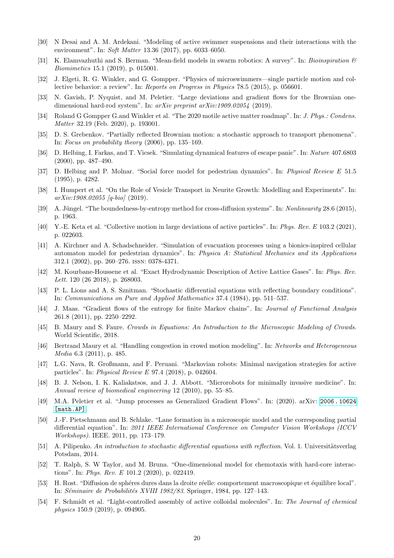- <span id="page-19-0"></span>[30] N Desai and A. M. Ardekani. "Modeling of active swimmer suspensions and their interactions with the environment". In: Soft Matter 13.36 (2017), pp. 6033–6050.
- <span id="page-19-6"></span>[31] K. Elamvazhuthi and S. Berman. "Mean-field models in swarm robotics: A survey". In: Bioinspiration  $\mathcal{B}'$ Biomimetics 15.1 (2019), p. 015001.
- <span id="page-19-1"></span>[32] J. Elgeti, R. G. Winkler, and G. Gompper. "Physics of microswimmers—single particle motion and collective behavior: a review". In: Reports on Progress in Physics 78.5 (2015), p. 056601.
- <span id="page-19-13"></span>[33] N. Gavish, P. Nyquist, and M. Peletier. "Large deviations and gradient flows for the Brownian onedimensional hard-rod system". In: arXiv preprint arXiv:1909.02054 (2019).
- <span id="page-19-2"></span>[34] Roland G Gompper G.and Winkler et al. "The 2020 motile active matter roadmap". In: J. Phys.: Condens. Matter 32.19 (Feb. 2020), p. 193001.
- <span id="page-19-16"></span>[35] D. S. Grebenkov. "Partially reflected Brownian motion: a stochastic approach to transport phenomena". In: Focus on probability theory (2006), pp. 135–169.
- <span id="page-19-20"></span>[36] D. Helbing, I. Farkas, and T. Vicsek. "Simulating dynamical features of escape panic". In: Nature 407.6803 (2000), pp. 487–490.
- <span id="page-19-19"></span>[37] D. Helbing and P. Molnar. "Social force model for pedestrian dynamics". In: Physical Review E 51.5 (1995), p. 4282.
- <span id="page-19-24"></span>[38] I. Humpert et al. "On the Role of Vesicle Transport in Neurite Growth: Modelling and Experiments". In:  $arXiv:1908.02055$  [q-bio] (2019).
- <span id="page-19-14"></span>[39] A. Jüngel. "The boundedness-by-entropy method for cross-diffusion systems". In: Nonlinearity 28.6 (2015), p. 1963.
- <span id="page-19-7"></span>[40] Y.-E. Keta et al. "Collective motion in large deviations of active particles". In: Phys. Rev. E 103.2 (2021), p. 022603.
- <span id="page-19-21"></span>[41] A. Kirchner and A. Schadschneider. "Simulation of evacuation processes using a bionics-inspired cellular automaton model for pedestrian dynamics". In: Physica A: Statistical Mechanics and its Applications 312.1 (2002), pp. 260–276. issn: 0378-4371.
- <span id="page-19-9"></span>[42] M. Kourbane-Houssene et al. "Exact Hydrodynamic Description of Active Lattice Gases". In: Phys. Rev. Lett. 120 (26 2018), p. 268003.
- <span id="page-19-17"></span>[43] P. L. Lions and A. S. Sznitman. "Stochastic differential equations with reflecting boundary conditions". In: Communications on Pure and Applied Mathematics 37.4 (1984), pp. 511–537.
- <span id="page-19-10"></span>[44] J. Maas. "Gradient flows of the entropy for finite Markov chains". In: Journal of Functional Analysis 261.8 (2011), pp. 2250–2292.
- <span id="page-19-18"></span>[45] B. Maury and S. Faure. Crowds in Equations: An Introduction to the Microscopic Modeling of Crowds. World Scientific, 2018.
- <span id="page-19-8"></span>[46] Bertrand Maury et al. "Handling congestion in crowd motion modeling". In: Networks and Heterogeneous Media 6.3 (2011), p. 485.
- <span id="page-19-5"></span>[47] L.G. Nava, R. Großmann, and F. Peruani. "Markovian robots: Minimal navigation strategies for active particles". In: Physical Review E 97.4 (2018), p. 042604.
- <span id="page-19-4"></span>[48] B. J. Nelson, I. K. Kaliakatsos, and J. J. Abbott. "Microrobots for minimally invasive medicine". In: Annual review of biomedical engineering 12 (2010), pp. 55–85.
- <span id="page-19-11"></span>[49] M.A. Peletier et al. "Jump processes as Generalized Gradient Flows". In: (2020). arXiv: [2006 . 10624](https://arxiv.org/abs/2006.10624) [\[math.AP\]](https://arxiv.org/abs/2006.10624).
- <span id="page-19-22"></span>[50] J.-F. Pietschmann and B. Schlake. "Lane formation in a microscopic model and the corresponding partial differential equation". In: 2011 IEEE International Conference on Computer Vision Workshops (ICCV Workshops). IEEE. 2011, pp. 173–179.
- <span id="page-19-15"></span> $[51]$  A. Pilipenko. An introduction to stochastic differential equations with reflection. Vol. 1. Universitätsverlag Potsdam, 2014.
- <span id="page-19-23"></span>[52] T. Ralph, S. W Taylor, and M. Bruna. "One-dimensional model for chemotaxis with hard-core interactions". In: Phys. Rev. E 101.2 (2020), p. 022419.
- <span id="page-19-12"></span>[53] H. Rost. "Diffusion de sphères dures dans la droite réelle: comportement macroscopique et équilibre local". In: Séminaire de Probabilités XVIII 1982/83. Springer, 1984, pp. 127–143.
- <span id="page-19-3"></span>[54] F. Schmidt et al. "Light-controlled assembly of active colloidal molecules". In: The Journal of chemical physics 150.9 (2019), p. 094905.